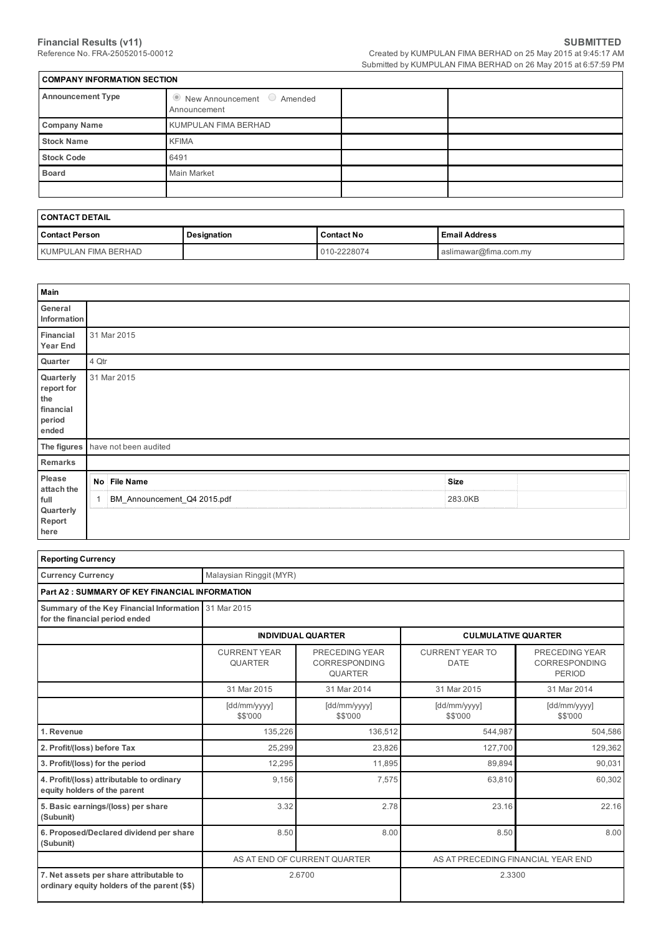| <b>COMPANY INFORMATION SECTION</b> |                                                            |  |  |  |  |  |  |  |
|------------------------------------|------------------------------------------------------------|--|--|--|--|--|--|--|
| <b>Announcement Type</b>           | $\bullet$ New Announcement $\circ$ Amended<br>Announcement |  |  |  |  |  |  |  |
| <b>Company Name</b>                | KUMPULAN FIMA BERHAD                                       |  |  |  |  |  |  |  |
| <b>Stock Name</b>                  | <b>KFIMA</b>                                               |  |  |  |  |  |  |  |
| <b>Stock Code</b>                  | 6491                                                       |  |  |  |  |  |  |  |
| <b>Board</b>                       | <b>Main Market</b>                                         |  |  |  |  |  |  |  |
|                                    |                                                            |  |  |  |  |  |  |  |

| <b>CONTACT DETAIL</b> |             |                   |                       |  |  |  |
|-----------------------|-------------|-------------------|-----------------------|--|--|--|
| Contact Person        | Designation | <b>Contact No</b> | l Email Address       |  |  |  |
| KUMPULAN FIMA BERHAD  |             | 010-2228074       | aslimawar@fima.com.my |  |  |  |

| Main                                                           |                                   |             |  |
|----------------------------------------------------------------|-----------------------------------|-------------|--|
| General<br>Information                                         |                                   |             |  |
| Financial<br><b>Year End</b>                                   | 31 Mar 2015                       |             |  |
| Quarter                                                        | 4 Qtr                             |             |  |
| Quarterly<br>report for<br>the<br>financial<br>period<br>ended | 31 Mar 2015                       |             |  |
|                                                                | The figures have not been audited |             |  |
| Remarks                                                        |                                   |             |  |
| Please<br>attach the                                           | No File Name                      | <b>Size</b> |  |
| full<br>Quarterly<br>Report<br>here                            | BM_Announcement_Q4 2015.pdf       | 283.0KB     |  |

| <b>Reporting Currency</b>                                                               |                                       |                                                   |                                       |                                                  |  |  |
|-----------------------------------------------------------------------------------------|---------------------------------------|---------------------------------------------------|---------------------------------------|--------------------------------------------------|--|--|
| <b>Currency Currency</b>                                                                | Malaysian Ringgit (MYR)               |                                                   |                                       |                                                  |  |  |
| <b>Part A2: SUMMARY OF KEY FINANCIAL INFORMATION</b>                                    |                                       |                                                   |                                       |                                                  |  |  |
| Summary of the Key Financial Information<br>for the financial period ended              | 31 Mar 2015                           |                                                   |                                       |                                                  |  |  |
|                                                                                         |                                       | <b>INDIVIDUAL QUARTER</b>                         | <b>CULMULATIVE QUARTER</b>            |                                                  |  |  |
|                                                                                         | <b>CURRENT YEAR</b><br><b>QUARTER</b> | PRECEDING YEAR<br>CORRESPONDING<br><b>QUARTER</b> | <b>CURRENT YEAR TO</b><br><b>DATE</b> | PRECEDING YEAR<br>CORRESPONDING<br><b>PERIOD</b> |  |  |
|                                                                                         | 31 Mar 2015                           | 31 Mar 2014                                       | 31 Mar 2015                           | 31 Mar 2014                                      |  |  |
|                                                                                         | [dd/mm/yyyy]<br>\$\$'000              | [dd/mm/yyyy]<br>\$\$'000                          | [dd/mm/yyyy]<br>\$\$'000              | [dd/mm/yyyy]<br>\$\$'000                         |  |  |
| 1. Revenue                                                                              | 135,226                               | 136,512                                           | 544,987                               | 504,586                                          |  |  |
| 2. Profit/(loss) before Tax                                                             | 25,299                                | 23,826                                            | 127,700                               | 129,362                                          |  |  |
| 3. Profit/(loss) for the period                                                         | 12,295                                | 11,895                                            | 89,894                                | 90,031                                           |  |  |
| 4. Profit/(loss) attributable to ordinary<br>equity holders of the parent               | 9,156                                 | 7,575                                             | 63,810                                | 60,302                                           |  |  |
| 5. Basic earnings/(loss) per share<br>(Subunit)                                         | 3.32                                  | 2.78                                              | 23.16                                 | 22.16                                            |  |  |
| 6. Proposed/Declared dividend per share<br>(Subunit)                                    | 8.50                                  | 8.00                                              | 8.50                                  | 8.00                                             |  |  |
|                                                                                         |                                       | AS AT END OF CURRENT QUARTER                      | AS AT PRECEDING FINANCIAL YEAR END    |                                                  |  |  |
| 7. Net assets per share attributable to<br>ordinary equity holders of the parent (\$\$) |                                       | 2.6700                                            | 2.3300                                |                                                  |  |  |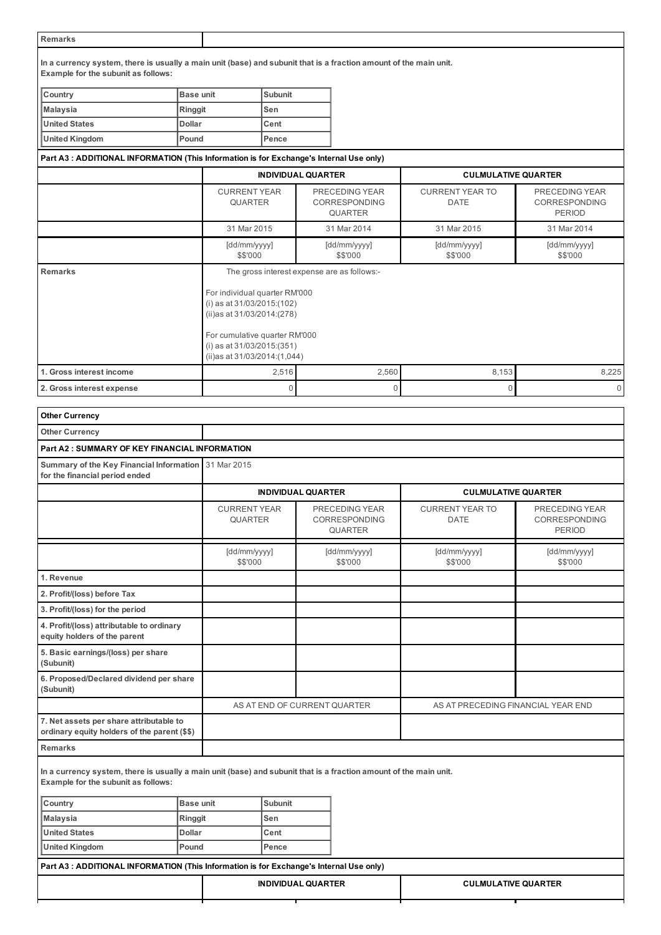#### Remarks

In a currency system, there is usually a main unit (base) and subunit that is a fraction amount of the main unit. Example for the subunit as follows:

| <b>Country</b> | <b>IBase unit</b> | <b>Subunit</b> |
|----------------|-------------------|----------------|
| Malaysia       | Ringgit           | lSen           |
| United States  | <b>Dollar</b>     | <b>ICent</b>   |
| United Kingdom | <b>Pound</b>      | <b>Pence</b>   |

# Part A3 : ADDITIONAL INFORMATION (This Information is for Exchange's Internal Use only)

|                           |                                       | <b>INDIVIDUAL QUARTER</b>                                                                                                                                                                                    | <b>CULMULATIVE QUARTER</b>            |                                                  |  |  |  |
|---------------------------|---------------------------------------|--------------------------------------------------------------------------------------------------------------------------------------------------------------------------------------------------------------|---------------------------------------|--------------------------------------------------|--|--|--|
|                           | <b>CURRENT YEAR</b><br><b>QUARTER</b> | PRECEDING YEAR<br><b>CORRESPONDING</b><br><b>QUARTER</b>                                                                                                                                                     | <b>CURRENT YEAR TO</b><br><b>DATE</b> | PRECEDING YEAR<br><b>CORRESPONDING</b><br>PERIOD |  |  |  |
|                           | 31 Mar 2015                           | 31 Mar 2014                                                                                                                                                                                                  | 31 Mar 2015                           | 31 Mar 2014                                      |  |  |  |
|                           | [dd/mm/yyyy]<br>\$\$'000              | [dd/mm/yyyy]<br>\$\$'000                                                                                                                                                                                     | [dd/mm/yyyy]<br>\$\$'000              | [dd/mm/yyyy]<br>\$\$'000                         |  |  |  |
| <b>Remarks</b>            | (ii)as at 31/03/2014:(1,044)          | The gross interest expense are as follows:-<br>For individual quarter RM'000<br>(i) as at $31/03/2015$ : (102)<br>(ii)as at 31/03/2014:(278)<br>For cumulative quarter RM'000<br>(i) as at $31/03/2015(351)$ |                                       |                                                  |  |  |  |
| 1. Gross interest income  | 2,516                                 | 2,560                                                                                                                                                                                                        | 8,153                                 | 8,225                                            |  |  |  |
| 2. Gross interest expense | $\Omega$                              | $\Omega$                                                                                                                                                                                                     | $\Omega$                              | $\Omega$                                         |  |  |  |

| <b>Other Currency</b>                                                                   |                  |                          |                                       |                                                                                                                   |                                       |                                                         |
|-----------------------------------------------------------------------------------------|------------------|--------------------------|---------------------------------------|-------------------------------------------------------------------------------------------------------------------|---------------------------------------|---------------------------------------------------------|
| <b>Other Currency</b>                                                                   |                  |                          |                                       |                                                                                                                   |                                       |                                                         |
| <b>Part A2: SUMMARY OF KEY FINANCIAL INFORMATION</b>                                    |                  |                          |                                       |                                                                                                                   |                                       |                                                         |
| Summary of the Key Financial Information<br>for the financial period ended              |                  | 31 Mar 2015              |                                       |                                                                                                                   |                                       |                                                         |
|                                                                                         |                  |                          |                                       | <b>INDIVIDUAL QUARTER</b>                                                                                         | <b>CULMULATIVE QUARTER</b>            |                                                         |
|                                                                                         |                  |                          | <b>CURRENT YEAR</b><br><b>QUARTER</b> | PRECEDING YEAR<br><b>CORRESPONDING</b><br><b>QUARTER</b>                                                          | <b>CURRENT YEAR TO</b><br><b>DATE</b> | PRECEDING YEAR<br><b>CORRESPONDING</b><br><b>PERIOD</b> |
|                                                                                         |                  | [dd/mm/yyyy]<br>\$\$'000 |                                       | [dd/mm/yyyy]<br>\$\$'000                                                                                          | [dd/mm/yyyy]<br>\$\$'000              | [dd/mm/yyyy]<br>\$\$'000                                |
| 1. Revenue                                                                              |                  |                          |                                       |                                                                                                                   |                                       |                                                         |
| 2. Profit/(loss) before Tax                                                             |                  |                          |                                       |                                                                                                                   |                                       |                                                         |
| 3. Profit/(loss) for the period                                                         |                  |                          |                                       |                                                                                                                   |                                       |                                                         |
| 4. Profit/(loss) attributable to ordinary<br>equity holders of the parent               |                  |                          |                                       |                                                                                                                   |                                       |                                                         |
| 5. Basic earnings/(loss) per share<br>(Subunit)                                         |                  |                          |                                       |                                                                                                                   |                                       |                                                         |
| 6. Proposed/Declared dividend per share<br>(Subunit)                                    |                  |                          |                                       |                                                                                                                   |                                       |                                                         |
|                                                                                         |                  |                          |                                       | AS AT END OF CURRENT QUARTER                                                                                      | AS AT PRECEDING FINANCIAL YEAR END    |                                                         |
| 7. Net assets per share attributable to<br>ordinary equity holders of the parent (\$\$) |                  |                          |                                       |                                                                                                                   |                                       |                                                         |
| <b>Remarks</b>                                                                          |                  |                          |                                       |                                                                                                                   |                                       |                                                         |
| Example for the subunit as follows:                                                     |                  |                          |                                       | In a currency system, there is usually a main unit (base) and subunit that is a fraction amount of the main unit. |                                       |                                                         |
| Country                                                                                 | <b>Base unit</b> |                          | <b>Subunit</b>                        |                                                                                                                   |                                       |                                                         |
| <b>Malaysia</b>                                                                         | Ringgit          |                          | Sen                                   |                                                                                                                   |                                       |                                                         |
| <b>United States</b>                                                                    | <b>Dollar</b>    |                          | Cent                                  |                                                                                                                   |                                       |                                                         |
| <b>United Kingdom</b>                                                                   | Pound            |                          | Pence                                 |                                                                                                                   |                                       |                                                         |
| Part A3 : ADDITIONAL INFORMATION (This Information is for Exchange's Internal Use only) |                  |                          |                                       |                                                                                                                   |                                       |                                                         |
|                                                                                         |                  |                          |                                       | <b>INDIVIDUAL QUARTER</b>                                                                                         | <b>CULMULATIVE QUARTER</b>            |                                                         |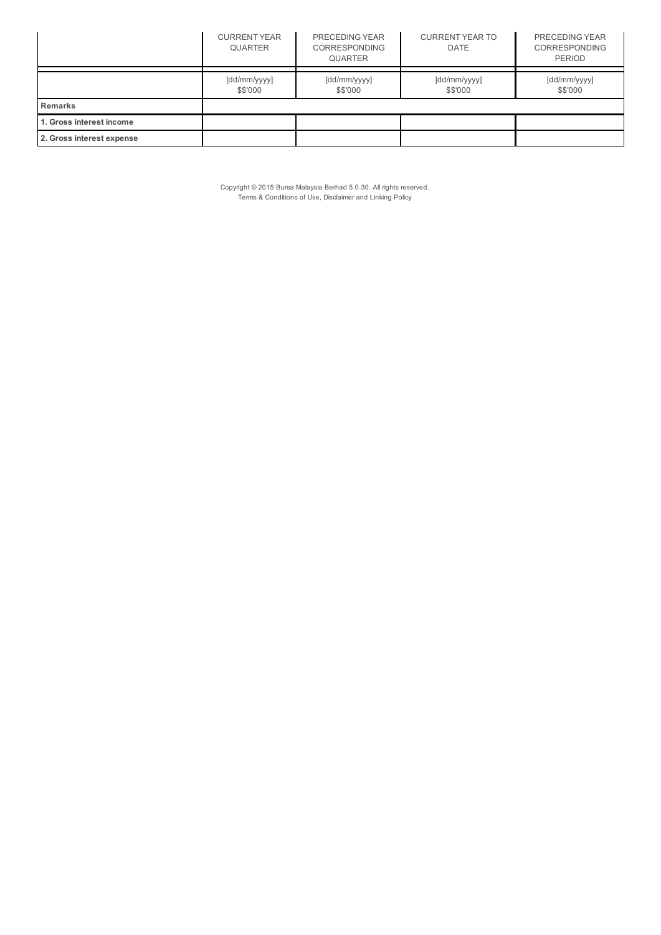|                           | <b>CURRENT YEAR</b><br><b>QUARTER</b> | PRECEDING YEAR<br><b>CORRESPONDING</b><br><b>QUARTER</b> | <b>CURRENT YEAR TO</b><br>DATE | PRECEDING YEAR<br><b>CORRESPONDING</b><br><b>PERIOD</b> |  |
|---------------------------|---------------------------------------|----------------------------------------------------------|--------------------------------|---------------------------------------------------------|--|
|                           | [dd/mm/yyyy]<br>\$\$'000              | [dd/mm/yyyy]<br>\$\$'000                                 | [dd/mm/yyyy]<br>\$\$'000       | [dd/mm/yyyy]<br>\$\$'000                                |  |
| <b>Remarks</b>            |                                       |                                                          |                                |                                                         |  |
| 1. Gross interest income  |                                       |                                                          |                                |                                                         |  |
| 2. Gross interest expense |                                       |                                                          |                                |                                                         |  |

Copyright © 2015 Bursa Malaysia Berhad 5.0.30. All rights reserved. Terms & Conditions of Use, Disclaimer and Linking Policy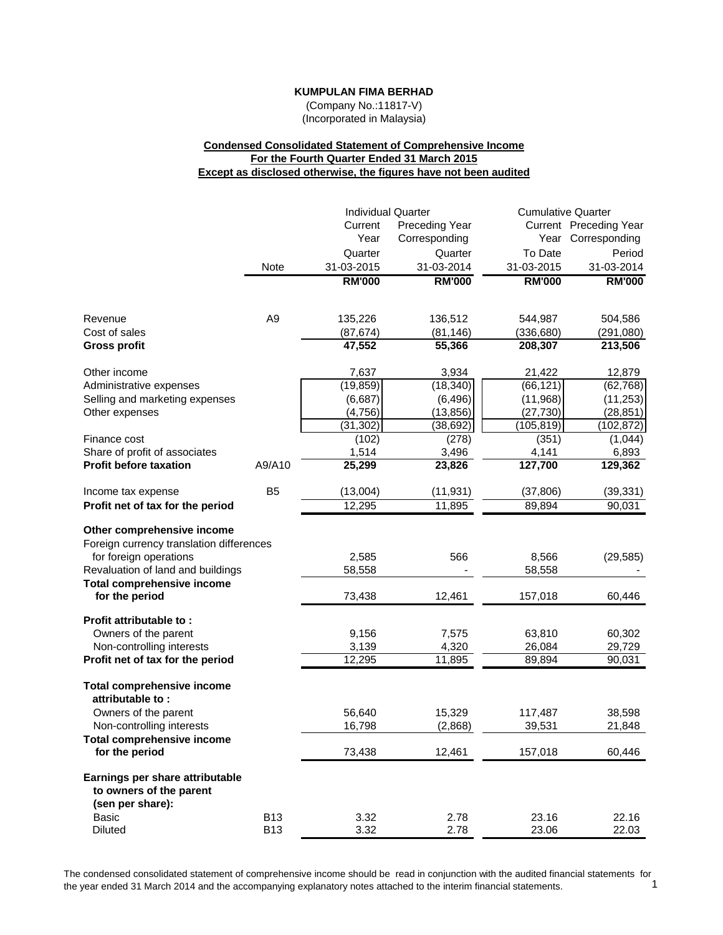(Company No.:11817-V) (Incorporated in Malaysia)

# **Condensed Consolidated Statement of Comprehensive Income For the Fourth Quarter Ended 31 March 2015 Except as disclosed otherwise, the figures have not been audited**

| Current Preceding Year<br>Current<br><b>Preceding Year</b><br>Year<br>Corresponding<br>Year Corresponding<br>To Date<br>Quarter<br>Period<br>Quarter<br>31-03-2014<br>31-03-2015<br>31-03-2014<br>Note<br>31-03-2015<br><b>RM'000</b><br><b>RM'000</b><br><b>RM'000</b><br><b>RM'000</b><br>A <sub>9</sub><br>135,226<br>136,512<br>Revenue<br>544,987<br>504,586<br>Cost of sales<br>(87, 674)<br>(81, 146)<br>(336, 680)<br>(291,080)<br>47,552<br>208,307<br>213,506<br><b>Gross profit</b><br>55,366<br>Other income<br>7,637<br>3,934<br>12,879<br>21,422<br>(19, 859)<br>(18, 340)<br>(66, 121)<br>(62, 768)<br>Administrative expenses<br>Selling and marketing expenses<br>(6,687)<br>(6, 496)<br>(11, 968)<br>(11, 253)<br>(4, 756)<br>(13, 856)<br>(27, 730)<br>(28, 851)<br>Other expenses<br>(31, 302)<br>(38, 692)<br>(105,819)<br>(102, 872)<br>(102)<br>Finance cost<br>(278)<br>(351)<br>(1,044)<br>Share of profit of associates<br>1,514<br>3,496<br>4,141<br>6,893<br>25,299<br>23,826<br>127,700<br>$\overline{129,362}$<br><b>Profit before taxation</b><br>A9/A10<br>B <sub>5</sub><br>(13,004)<br>(11, 931)<br>(37, 806)<br>(39, 331)<br>Income tax expense<br>12,295<br>11,895<br>89,894<br>90,031<br>Profit net of tax for the period<br>Other comprehensive income<br>Foreign currency translation differences<br>for foreign operations<br>2,585<br>566<br>8,566<br>(29, 585)<br>Revaluation of land and buildings<br>58,558<br>58,558<br><b>Total comprehensive income</b><br>for the period<br>73,438<br>12,461<br>157,018<br>60,446<br>Profit attributable to:<br>Owners of the parent<br>9,156<br>7,575<br>63,810<br>60,302<br>Non-controlling interests<br>4,320<br>3,139<br>26,084<br>29,729<br>12,295<br>Profit net of tax for the period<br>11,895<br>89,894<br>90,031<br><b>Total comprehensive income</b><br>attributable to:<br>Owners of the parent<br>56,640<br>15,329<br>117,487<br>38,598<br>16,798<br>(2,868)<br>39,531<br>Non-controlling interests<br>21,848<br>Total comprehensive income<br>for the period<br>73,438<br>12,461<br>157,018<br>60,446<br>Earnings per share attributable<br>to owners of the parent<br>(sen per share):<br>Basic<br><b>B13</b><br>3.32<br>2.78<br>23.16<br>22.16<br><b>B13</b><br><b>Diluted</b><br>3.32<br>2.78<br>23.06<br>22.03 |  |  | <b>Individual Quarter</b> | <b>Cumulative Quarter</b> |  |
|-----------------------------------------------------------------------------------------------------------------------------------------------------------------------------------------------------------------------------------------------------------------------------------------------------------------------------------------------------------------------------------------------------------------------------------------------------------------------------------------------------------------------------------------------------------------------------------------------------------------------------------------------------------------------------------------------------------------------------------------------------------------------------------------------------------------------------------------------------------------------------------------------------------------------------------------------------------------------------------------------------------------------------------------------------------------------------------------------------------------------------------------------------------------------------------------------------------------------------------------------------------------------------------------------------------------------------------------------------------------------------------------------------------------------------------------------------------------------------------------------------------------------------------------------------------------------------------------------------------------------------------------------------------------------------------------------------------------------------------------------------------------------------------------------------------------------------------------------------------------------------------------------------------------------------------------------------------------------------------------------------------------------------------------------------------------------------------------------------------------------------------------------------------------------------------------------------------------------------------------------------------------------------------------------------------------|--|--|---------------------------|---------------------------|--|
|                                                                                                                                                                                                                                                                                                                                                                                                                                                                                                                                                                                                                                                                                                                                                                                                                                                                                                                                                                                                                                                                                                                                                                                                                                                                                                                                                                                                                                                                                                                                                                                                                                                                                                                                                                                                                                                                                                                                                                                                                                                                                                                                                                                                                                                                                                                 |  |  |                           |                           |  |
|                                                                                                                                                                                                                                                                                                                                                                                                                                                                                                                                                                                                                                                                                                                                                                                                                                                                                                                                                                                                                                                                                                                                                                                                                                                                                                                                                                                                                                                                                                                                                                                                                                                                                                                                                                                                                                                                                                                                                                                                                                                                                                                                                                                                                                                                                                                 |  |  |                           |                           |  |
|                                                                                                                                                                                                                                                                                                                                                                                                                                                                                                                                                                                                                                                                                                                                                                                                                                                                                                                                                                                                                                                                                                                                                                                                                                                                                                                                                                                                                                                                                                                                                                                                                                                                                                                                                                                                                                                                                                                                                                                                                                                                                                                                                                                                                                                                                                                 |  |  |                           |                           |  |
|                                                                                                                                                                                                                                                                                                                                                                                                                                                                                                                                                                                                                                                                                                                                                                                                                                                                                                                                                                                                                                                                                                                                                                                                                                                                                                                                                                                                                                                                                                                                                                                                                                                                                                                                                                                                                                                                                                                                                                                                                                                                                                                                                                                                                                                                                                                 |  |  |                           |                           |  |
|                                                                                                                                                                                                                                                                                                                                                                                                                                                                                                                                                                                                                                                                                                                                                                                                                                                                                                                                                                                                                                                                                                                                                                                                                                                                                                                                                                                                                                                                                                                                                                                                                                                                                                                                                                                                                                                                                                                                                                                                                                                                                                                                                                                                                                                                                                                 |  |  |                           |                           |  |
|                                                                                                                                                                                                                                                                                                                                                                                                                                                                                                                                                                                                                                                                                                                                                                                                                                                                                                                                                                                                                                                                                                                                                                                                                                                                                                                                                                                                                                                                                                                                                                                                                                                                                                                                                                                                                                                                                                                                                                                                                                                                                                                                                                                                                                                                                                                 |  |  |                           |                           |  |
|                                                                                                                                                                                                                                                                                                                                                                                                                                                                                                                                                                                                                                                                                                                                                                                                                                                                                                                                                                                                                                                                                                                                                                                                                                                                                                                                                                                                                                                                                                                                                                                                                                                                                                                                                                                                                                                                                                                                                                                                                                                                                                                                                                                                                                                                                                                 |  |  |                           |                           |  |
|                                                                                                                                                                                                                                                                                                                                                                                                                                                                                                                                                                                                                                                                                                                                                                                                                                                                                                                                                                                                                                                                                                                                                                                                                                                                                                                                                                                                                                                                                                                                                                                                                                                                                                                                                                                                                                                                                                                                                                                                                                                                                                                                                                                                                                                                                                                 |  |  |                           |                           |  |
|                                                                                                                                                                                                                                                                                                                                                                                                                                                                                                                                                                                                                                                                                                                                                                                                                                                                                                                                                                                                                                                                                                                                                                                                                                                                                                                                                                                                                                                                                                                                                                                                                                                                                                                                                                                                                                                                                                                                                                                                                                                                                                                                                                                                                                                                                                                 |  |  |                           |                           |  |
|                                                                                                                                                                                                                                                                                                                                                                                                                                                                                                                                                                                                                                                                                                                                                                                                                                                                                                                                                                                                                                                                                                                                                                                                                                                                                                                                                                                                                                                                                                                                                                                                                                                                                                                                                                                                                                                                                                                                                                                                                                                                                                                                                                                                                                                                                                                 |  |  |                           |                           |  |
|                                                                                                                                                                                                                                                                                                                                                                                                                                                                                                                                                                                                                                                                                                                                                                                                                                                                                                                                                                                                                                                                                                                                                                                                                                                                                                                                                                                                                                                                                                                                                                                                                                                                                                                                                                                                                                                                                                                                                                                                                                                                                                                                                                                                                                                                                                                 |  |  |                           |                           |  |
|                                                                                                                                                                                                                                                                                                                                                                                                                                                                                                                                                                                                                                                                                                                                                                                                                                                                                                                                                                                                                                                                                                                                                                                                                                                                                                                                                                                                                                                                                                                                                                                                                                                                                                                                                                                                                                                                                                                                                                                                                                                                                                                                                                                                                                                                                                                 |  |  |                           |                           |  |
|                                                                                                                                                                                                                                                                                                                                                                                                                                                                                                                                                                                                                                                                                                                                                                                                                                                                                                                                                                                                                                                                                                                                                                                                                                                                                                                                                                                                                                                                                                                                                                                                                                                                                                                                                                                                                                                                                                                                                                                                                                                                                                                                                                                                                                                                                                                 |  |  |                           |                           |  |
|                                                                                                                                                                                                                                                                                                                                                                                                                                                                                                                                                                                                                                                                                                                                                                                                                                                                                                                                                                                                                                                                                                                                                                                                                                                                                                                                                                                                                                                                                                                                                                                                                                                                                                                                                                                                                                                                                                                                                                                                                                                                                                                                                                                                                                                                                                                 |  |  |                           |                           |  |
|                                                                                                                                                                                                                                                                                                                                                                                                                                                                                                                                                                                                                                                                                                                                                                                                                                                                                                                                                                                                                                                                                                                                                                                                                                                                                                                                                                                                                                                                                                                                                                                                                                                                                                                                                                                                                                                                                                                                                                                                                                                                                                                                                                                                                                                                                                                 |  |  |                           |                           |  |
|                                                                                                                                                                                                                                                                                                                                                                                                                                                                                                                                                                                                                                                                                                                                                                                                                                                                                                                                                                                                                                                                                                                                                                                                                                                                                                                                                                                                                                                                                                                                                                                                                                                                                                                                                                                                                                                                                                                                                                                                                                                                                                                                                                                                                                                                                                                 |  |  |                           |                           |  |
|                                                                                                                                                                                                                                                                                                                                                                                                                                                                                                                                                                                                                                                                                                                                                                                                                                                                                                                                                                                                                                                                                                                                                                                                                                                                                                                                                                                                                                                                                                                                                                                                                                                                                                                                                                                                                                                                                                                                                                                                                                                                                                                                                                                                                                                                                                                 |  |  |                           |                           |  |
|                                                                                                                                                                                                                                                                                                                                                                                                                                                                                                                                                                                                                                                                                                                                                                                                                                                                                                                                                                                                                                                                                                                                                                                                                                                                                                                                                                                                                                                                                                                                                                                                                                                                                                                                                                                                                                                                                                                                                                                                                                                                                                                                                                                                                                                                                                                 |  |  |                           |                           |  |
|                                                                                                                                                                                                                                                                                                                                                                                                                                                                                                                                                                                                                                                                                                                                                                                                                                                                                                                                                                                                                                                                                                                                                                                                                                                                                                                                                                                                                                                                                                                                                                                                                                                                                                                                                                                                                                                                                                                                                                                                                                                                                                                                                                                                                                                                                                                 |  |  |                           |                           |  |
|                                                                                                                                                                                                                                                                                                                                                                                                                                                                                                                                                                                                                                                                                                                                                                                                                                                                                                                                                                                                                                                                                                                                                                                                                                                                                                                                                                                                                                                                                                                                                                                                                                                                                                                                                                                                                                                                                                                                                                                                                                                                                                                                                                                                                                                                                                                 |  |  |                           |                           |  |
|                                                                                                                                                                                                                                                                                                                                                                                                                                                                                                                                                                                                                                                                                                                                                                                                                                                                                                                                                                                                                                                                                                                                                                                                                                                                                                                                                                                                                                                                                                                                                                                                                                                                                                                                                                                                                                                                                                                                                                                                                                                                                                                                                                                                                                                                                                                 |  |  |                           |                           |  |
|                                                                                                                                                                                                                                                                                                                                                                                                                                                                                                                                                                                                                                                                                                                                                                                                                                                                                                                                                                                                                                                                                                                                                                                                                                                                                                                                                                                                                                                                                                                                                                                                                                                                                                                                                                                                                                                                                                                                                                                                                                                                                                                                                                                                                                                                                                                 |  |  |                           |                           |  |
|                                                                                                                                                                                                                                                                                                                                                                                                                                                                                                                                                                                                                                                                                                                                                                                                                                                                                                                                                                                                                                                                                                                                                                                                                                                                                                                                                                                                                                                                                                                                                                                                                                                                                                                                                                                                                                                                                                                                                                                                                                                                                                                                                                                                                                                                                                                 |  |  |                           |                           |  |
|                                                                                                                                                                                                                                                                                                                                                                                                                                                                                                                                                                                                                                                                                                                                                                                                                                                                                                                                                                                                                                                                                                                                                                                                                                                                                                                                                                                                                                                                                                                                                                                                                                                                                                                                                                                                                                                                                                                                                                                                                                                                                                                                                                                                                                                                                                                 |  |  |                           |                           |  |
|                                                                                                                                                                                                                                                                                                                                                                                                                                                                                                                                                                                                                                                                                                                                                                                                                                                                                                                                                                                                                                                                                                                                                                                                                                                                                                                                                                                                                                                                                                                                                                                                                                                                                                                                                                                                                                                                                                                                                                                                                                                                                                                                                                                                                                                                                                                 |  |  |                           |                           |  |
|                                                                                                                                                                                                                                                                                                                                                                                                                                                                                                                                                                                                                                                                                                                                                                                                                                                                                                                                                                                                                                                                                                                                                                                                                                                                                                                                                                                                                                                                                                                                                                                                                                                                                                                                                                                                                                                                                                                                                                                                                                                                                                                                                                                                                                                                                                                 |  |  |                           |                           |  |
|                                                                                                                                                                                                                                                                                                                                                                                                                                                                                                                                                                                                                                                                                                                                                                                                                                                                                                                                                                                                                                                                                                                                                                                                                                                                                                                                                                                                                                                                                                                                                                                                                                                                                                                                                                                                                                                                                                                                                                                                                                                                                                                                                                                                                                                                                                                 |  |  |                           |                           |  |
|                                                                                                                                                                                                                                                                                                                                                                                                                                                                                                                                                                                                                                                                                                                                                                                                                                                                                                                                                                                                                                                                                                                                                                                                                                                                                                                                                                                                                                                                                                                                                                                                                                                                                                                                                                                                                                                                                                                                                                                                                                                                                                                                                                                                                                                                                                                 |  |  |                           |                           |  |
|                                                                                                                                                                                                                                                                                                                                                                                                                                                                                                                                                                                                                                                                                                                                                                                                                                                                                                                                                                                                                                                                                                                                                                                                                                                                                                                                                                                                                                                                                                                                                                                                                                                                                                                                                                                                                                                                                                                                                                                                                                                                                                                                                                                                                                                                                                                 |  |  |                           |                           |  |

The condensed consolidated statement of comprehensive income should be read in conjunction with the audited financial statements for the vear ended 31 March 2014 and the accompanying explanatory notes attached to the inter the year ended 31 March 2014 and the accompanying explanatory notes attached to the interim financial statements. 1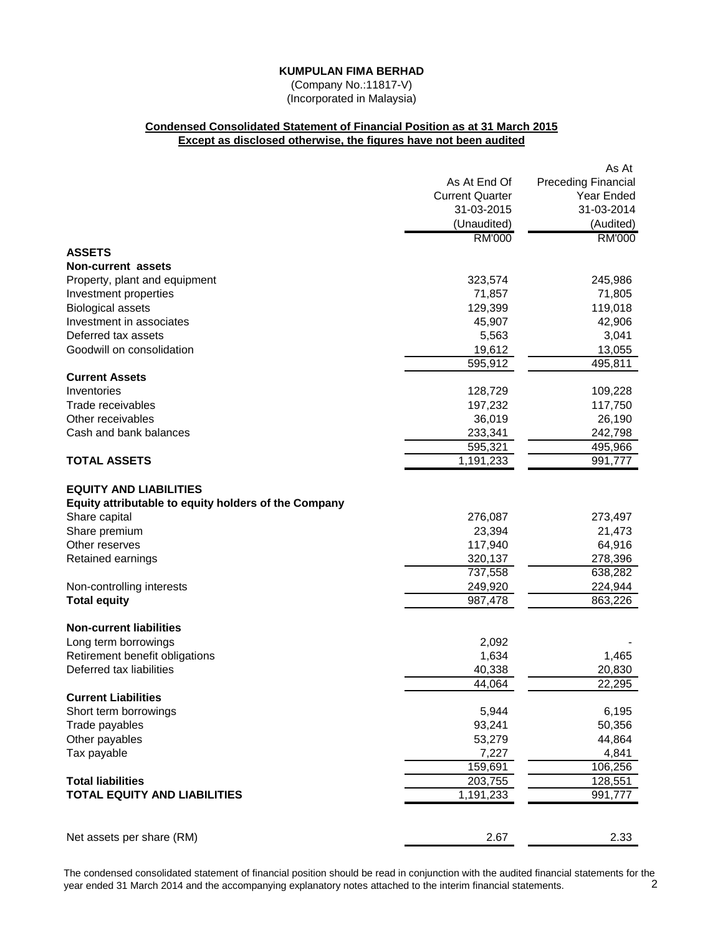(Company No.:11817-V) (Incorporated in Malaysia)

# **Condensed Consolidated Statement of Financial Position as at 31 March 2015 Except as disclosed otherwise, the figures have not been audited**

|                                                                                       |                        | As At                      |
|---------------------------------------------------------------------------------------|------------------------|----------------------------|
|                                                                                       | As At End Of           | <b>Preceding Financial</b> |
|                                                                                       | <b>Current Quarter</b> | Year Ended                 |
|                                                                                       | 31-03-2015             | 31-03-2014                 |
|                                                                                       | (Unaudited)            | (Audited)                  |
|                                                                                       | <b>RM'000</b>          | <b>RM'000</b>              |
| <b>ASSETS</b>                                                                         |                        |                            |
| <b>Non-current assets</b>                                                             |                        |                            |
| Property, plant and equipment                                                         | 323,574                | 245,986                    |
| Investment properties                                                                 | 71,857                 | 71,805                     |
| <b>Biological assets</b>                                                              | 129,399                | 119,018                    |
| Investment in associates                                                              | 45,907                 | 42,906                     |
| Deferred tax assets                                                                   | 5,563                  | 3,041                      |
| Goodwill on consolidation                                                             | 19,612                 | 13,055                     |
|                                                                                       | 595,912                | 495,811                    |
| <b>Current Assets</b>                                                                 |                        |                            |
| Inventories                                                                           | 128,729                | 109,228                    |
| Trade receivables                                                                     | 197,232                | 117,750                    |
| Other receivables                                                                     | 36,019                 | 26,190                     |
| Cash and bank balances                                                                | 233,341                | 242,798                    |
|                                                                                       | 595,321                | 495,966                    |
| <b>TOTAL ASSETS</b>                                                                   | 1,191,233              | 991,777                    |
| <b>EQUITY AND LIABILITIES</b><br>Equity attributable to equity holders of the Company |                        |                            |
| Share capital                                                                         | 276,087                | 273,497                    |
| Share premium                                                                         | 23,394                 | 21,473                     |
| Other reserves                                                                        | 117,940                | 64,916                     |
| Retained earnings                                                                     | 320,137                | 278,396                    |
|                                                                                       | 737,558                | 638,282                    |
| Non-controlling interests                                                             | 249,920                | 224,944                    |
| <b>Total equity</b>                                                                   | 987,478                | 863,226                    |
| <b>Non-current liabilities</b>                                                        |                        |                            |
| Long term borrowings                                                                  | 2,092                  |                            |
| Retirement benefit obligations                                                        | 1,634                  | 1,465                      |
| Deferred tax liabilities                                                              | 40,338                 | 20,830                     |
|                                                                                       | 44,064                 | 22,295                     |
| <b>Current Liabilities</b>                                                            |                        |                            |
| Short term borrowings                                                                 | 5,944                  | 6,195                      |
| Trade payables                                                                        | 93,241                 | 50,356                     |
| Other payables                                                                        | 53,279                 | 44,864                     |
| Tax payable                                                                           | 7,227                  | 4,841                      |
|                                                                                       | 159,691                | 106,256                    |
| <b>Total liabilities</b>                                                              | 203,755                | 128,551                    |
| <b>TOTAL EQUITY AND LIABILITIES</b>                                                   | 1,191,233              | 991,777                    |
|                                                                                       |                        |                            |
| Net assets per share (RM)                                                             | 2.67                   | 2.33                       |

The condensed consolidated statement of financial position should be read in conjunction with the audited financial statements for the vear ended 31 March 2014 and the accompanying explanatory notes attached to the interim year ended 31 March 2014 and the accompanying explanatory notes attached to the interim financial statements. 2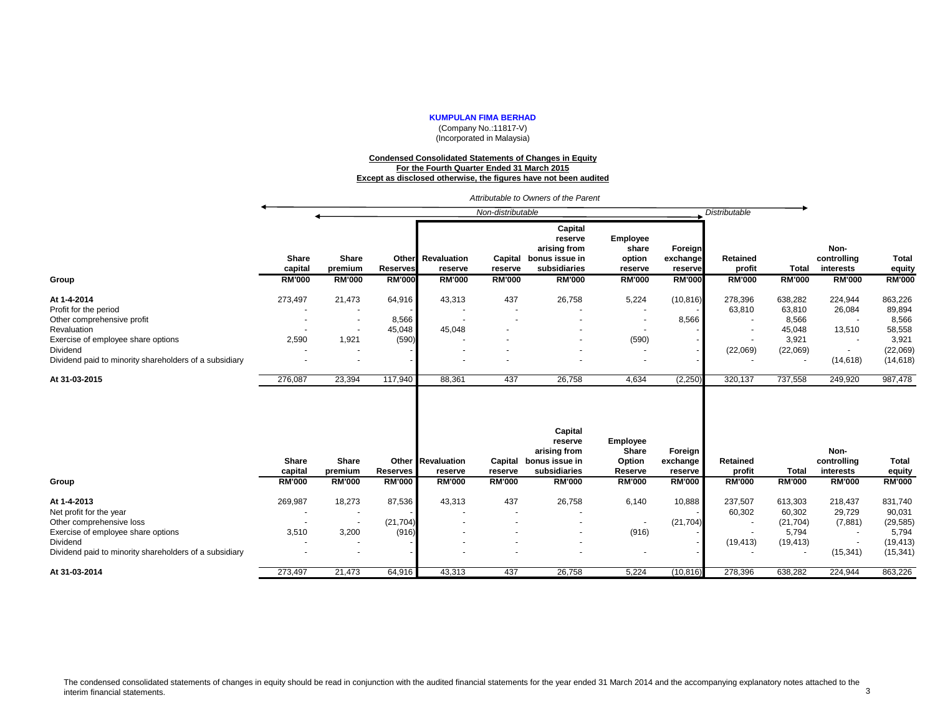(Company No.:11817-V) (Incorporated in Malaysia)

#### **Condensed Consolidated Statements of Changes in Equity For the Fourth Quarter Ended 31 March 2015 Except as disclosed otherwise, the figures have not been audited**

|                                                                                                          |                                   |                                   |                                  |                                                      | Non-distributable                   |                                                                                       |                                                                |                                                 | <b>Distributable</b>                |                                |                                                   |                                         |
|----------------------------------------------------------------------------------------------------------|-----------------------------------|-----------------------------------|----------------------------------|------------------------------------------------------|-------------------------------------|---------------------------------------------------------------------------------------|----------------------------------------------------------------|-------------------------------------------------|-------------------------------------|--------------------------------|---------------------------------------------------|-----------------------------------------|
| Group                                                                                                    | Share<br>capital<br><b>RM'000</b> | Share<br>premium<br><b>RM'000</b> | <b>Reserves</b><br><b>RM'000</b> | <b>Other</b> Revaluation<br>reserve<br><b>RM'000</b> | Capital<br>reserve<br><b>RM'000</b> | Capital<br>reserve<br>arising from<br>bonus issue in<br>subsidiaries<br><b>RM'000</b> | <b>Employee</b><br>share<br>option<br>reserve<br><b>RM'000</b> | Foreign<br>exchange<br>reserve<br><b>RM'000</b> | Retained<br>profit<br><b>RM'000</b> | <b>Total</b><br><b>RM'000</b>  | Non-<br>controlling<br>interests<br><b>RM'000</b> | <b>Total</b><br>equity<br><b>RM'000</b> |
|                                                                                                          |                                   |                                   |                                  |                                                      |                                     |                                                                                       |                                                                |                                                 |                                     |                                |                                                   |                                         |
| At 1-4-2014<br>Profit for the period<br>Other comprehensive profit                                       | 273,497                           | 21,473                            | 64,916<br>8,566                  | 43,313                                               | 437                                 | 26,758                                                                                | 5,224                                                          | (10, 816)<br>8,566                              | 278,396<br>63,810                   | 638,282<br>63,810<br>8,566     | 224,944<br>26,084                                 | 863,226<br>89,894<br>8,566              |
| Revaluation<br>Exercise of employee share options                                                        | 2,590                             | $\overline{\phantom{a}}$<br>1,921 | 45,048<br>(590)                  | 45,048                                               |                                     |                                                                                       | (590)                                                          |                                                 |                                     | 45,048<br>3,921                | 13,510                                            | 58,558<br>3,921                         |
| Dividend<br>Dividend paid to minority shareholders of a subsidiary                                       |                                   |                                   |                                  |                                                      |                                     |                                                                                       | $\overline{a}$                                                 |                                                 | (22,069)                            | (22,069)                       | (14, 618)                                         | (22,069)<br>(14, 618)                   |
| At 31-03-2015                                                                                            | 276,087                           | 23,394                            | 117,940                          | 88,361                                               | 437                                 | 26,758                                                                                | 4,634                                                          | (2, 250)                                        | 320,137                             | 737,558                        | 249,920                                           | 987,478                                 |
|                                                                                                          | <b>Share</b><br>capital           | Share<br>premium                  | <b>Reserves</b>                  | Other Revaluation<br>reserve                         | Capital<br>reserve                  | Capital<br>reserve<br>arising from<br>bonus issue in<br>subsidiaries                  | Employee<br>Share<br>Option<br>Reserve                         | Foreign<br>exchange<br>reserve                  | Retained<br>profit                  | Total                          | Non-<br>controlling<br>interests                  | <b>Total</b><br>equity                  |
| Group                                                                                                    | <b>RM'000</b>                     | <b>RM'000</b>                     | <b>RM'000</b>                    | <b>RM'000</b>                                        | <b>RM'000</b>                       | <b>RM'000</b>                                                                         | <b>RM'000</b>                                                  | <b>RM'000</b>                                   | <b>RM'000</b>                       | <b>RM'000</b>                  | <b>RM'000</b>                                     | <b>RM'000</b>                           |
| At 1-4-2013<br>Net profit for the year<br>Other comprehensive loss                                       | 269,987                           | 18,273                            | 87,536<br>(21, 704)              | 43,313                                               | 437                                 | 26,758                                                                                | 6,140                                                          | 10,888<br>(21, 704)                             | 237,507<br>60,302                   | 613,303<br>60,302<br>(21, 704) | 218,437<br>29,729<br>(7,881)                      | 831,740<br>90,031<br>(29, 585)          |
| Exercise of employee share options<br>Dividend<br>Dividend paid to minority shareholders of a subsidiary | 3,510                             | 3,200                             | (916)                            |                                                      |                                     |                                                                                       | (916)                                                          |                                                 | (19, 413)                           | 5,794<br>(19, 413)             | (15, 341)                                         | 5,794<br>(19, 413)<br>(15, 341)         |
| At 31-03-2014                                                                                            | 273,497                           | 21,473                            | 64.916                           | 43.313                                               | 437                                 | 26.758                                                                                | 5.224                                                          | (10, 816)                                       | 278.396                             | 638.282                        | 224.944                                           | 863,226                                 |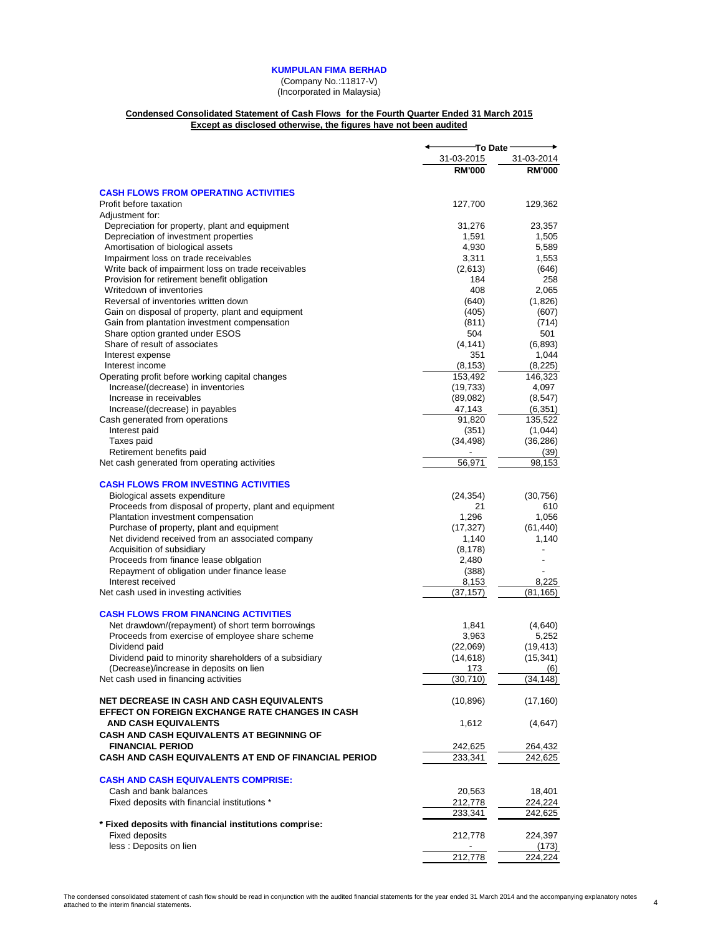(Company No.:11817-V)

(Incorporated in Malaysia)

#### **Condensed Consolidated Statement of Cash Flows for the Fourth Quarter Ended 31 March 2015 Except as disclosed otherwise, the figures have not been audited**

|                                                                                            | <sup>-</sup> To Date∶ |                  |
|--------------------------------------------------------------------------------------------|-----------------------|------------------|
|                                                                                            | 31-03-2015            | 31-03-2014       |
|                                                                                            | <b>RM'000</b>         | <b>RM'000</b>    |
|                                                                                            |                       |                  |
| <b>CASH FLOWS FROM OPERATING ACTIVITIES</b>                                                |                       |                  |
| Profit before taxation                                                                     | 127,700               | 129,362          |
| Adjustment for:                                                                            |                       |                  |
| Depreciation for property, plant and equipment                                             | 31,276                | 23,357           |
| Depreciation of investment properties                                                      | 1,591                 | 1,505            |
| Amortisation of biological assets                                                          | 4,930                 | 5,589            |
| Impairment loss on trade receivables<br>Write back of impairment loss on trade receivables | 3,311<br>(2,613)      | 1,553<br>(646)   |
| Provision for retirement benefit obligation                                                | 184                   | 258              |
| Writedown of inventories                                                                   | 408                   | 2,065            |
| Reversal of inventories written down                                                       | (640)                 | (1,826)          |
| Gain on disposal of property, plant and equipment                                          | (405)                 | (607)            |
| Gain from plantation investment compensation                                               | (811)                 | (714)            |
| Share option granted under ESOS                                                            | 504                   | 501              |
| Share of result of associates                                                              | (4, 141)              | (6,893)          |
| Interest expense                                                                           | 351                   | 1,044            |
| Interest income                                                                            | (8, 153)              | (8,225)          |
| Operating profit before working capital changes                                            | 153,492               | 146,323          |
| Increase/(decrease) in inventories                                                         | (19, 733)             | 4,097            |
| Increase in receivables                                                                    | (89,082)              | (8, 547)         |
| Increase/(decrease) in payables                                                            | 47,143                | (6, 351)         |
| Cash generated from operations                                                             | 91,820                | 135,522          |
| Interest paid                                                                              | (351)                 | (1,044)          |
| Taxes paid                                                                                 | (34, 498)             | (36, 286)        |
| Retirement benefits paid                                                                   |                       | (39)             |
| Net cash generated from operating activities                                               | 56,971                | 98,153           |
| <b>CASH FLOWS FROM INVESTING ACTIVITIES</b>                                                |                       |                  |
| Biological assets expenditure                                                              | (24, 354)             | (30, 756)        |
| Proceeds from disposal of property, plant and equipment                                    | 21                    | 610              |
| Plantation investment compensation                                                         | 1,296                 | 1,056            |
| Purchase of property, plant and equipment                                                  | (17, 327)             | (61, 440)        |
| Net dividend received from an associated company                                           | 1,140                 | 1,140            |
| Acquisition of subsidiary                                                                  | (8, 178)              |                  |
| Proceeds from finance lease oblgation                                                      | 2,480                 |                  |
| Repayment of obligation under finance lease                                                | (388)                 |                  |
| Interest received                                                                          | 8,153                 | 8,225            |
| Net cash used in investing activities                                                      | (37, 157)             | (81,165)         |
| <b>CASH FLOWS FROM FINANCING ACTIVITIES</b>                                                |                       |                  |
| Net drawdown/(repayment) of short term borrowings                                          | 1,841                 | (4,640)          |
| Proceeds from exercise of employee share scheme                                            | 3,963                 | 5,252            |
| Dividend paid                                                                              | (22,069)              | (19, 413)        |
| Dividend paid to minority shareholders of a subsidiary                                     | (14, 618)             | (15, 341)        |
| (Decrease)/increase in deposits on lien                                                    | 173                   | (6)              |
| Net cash used in financing activities                                                      | (30,710)              | (34,148)         |
| <b>NET DECREASE IN CASH AND CASH EQUIVALENTS</b>                                           | (10, 896)             | (17, 160)        |
| EFFECT ON FOREIGN EXCHANGE RATE CHANGES IN CASH                                            |                       |                  |
| <b>AND CASH EQUIVALENTS</b>                                                                | 1,612                 | (4,647)          |
| CASH AND CASH EQUIVALENTS AT BEGINNING OF                                                  |                       |                  |
| <b>FINANCIAL PERIOD</b>                                                                    | 242,625               | 264,432          |
| <b>CASH AND CASH EQUIVALENTS AT END OF FINANCIAL PERIOD</b>                                | 233,341               | 242,625          |
|                                                                                            |                       |                  |
| <b>CASH AND CASH EQUIVALENTS COMPRISE:</b>                                                 |                       |                  |
| Cash and bank balances                                                                     | 20,563                | 18,401           |
| Fixed deposits with financial institutions *                                               | 212,778<br>233,341    | 224,224          |
|                                                                                            |                       | 242,625          |
| * Fixed deposits with financial institutions comprise:<br><b>Fixed deposits</b>            |                       |                  |
| less : Deposits on lien                                                                    | 212,778               | 224,397<br>(173) |
|                                                                                            | 212,778               | 224,224          |
|                                                                                            |                       |                  |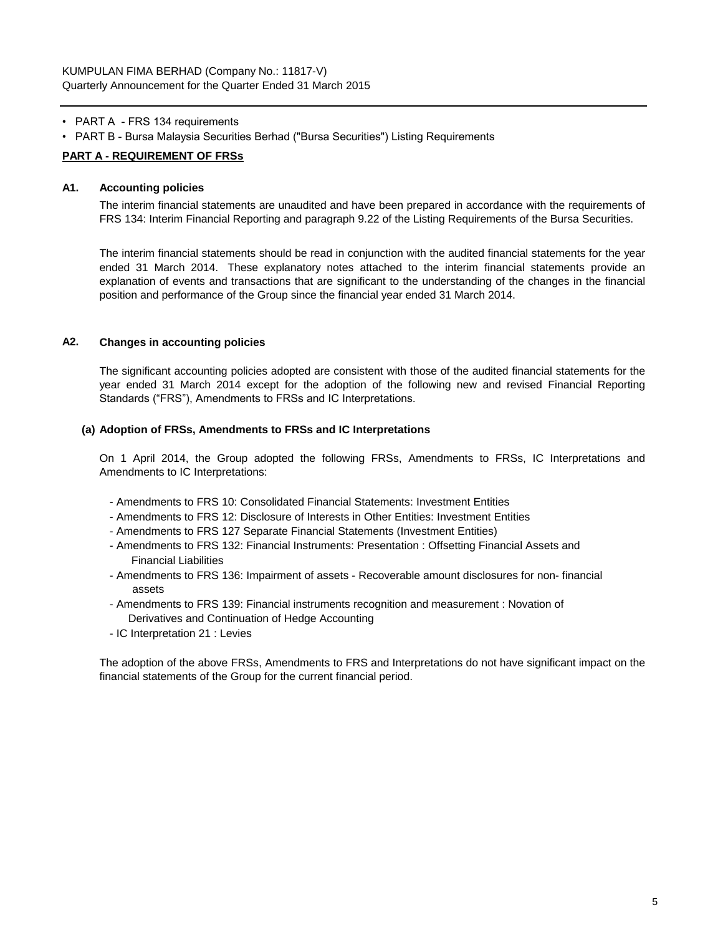- PART A FRS 134 requirements
- PART B Bursa Malaysia Securities Berhad ("Bursa Securities") Listing Requirements

# **PART A - REQUIREMENT OF FRSs**

## **A1. Accounting policies**

The interim financial statements are unaudited and have been prepared in accordance with the requirements of FRS 134: Interim Financial Reporting and paragraph 9.22 of the Listing Requirements of the Bursa Securities.

The interim financial statements should be read in conjunction with the audited financial statements for the year ended 31 March 2014. These explanatory notes attached to the interim financial statements provide an explanation of events and transactions that are significant to the understanding of the changes in the financial position and performance of the Group since the financial year ended 31 March 2014.

# **A2. Changes in accounting policies**

The significant accounting policies adopted are consistent with those of the audited financial statements for the year ended 31 March 2014 except for the adoption of the following new and revised Financial Reporting Standards ("FRS"), Amendments to FRSs and IC Interpretations.

#### **(a) Adoption of FRSs, Amendments to FRSs and IC Interpretations**

On 1 April 2014, the Group adopted the following FRSs, Amendments to FRSs, IC Interpretations and Amendments to IC Interpretations:

- Amendments to FRS 10: Consolidated Financial Statements: Investment Entities
- Amendments to FRS 12: Disclosure of Interests in Other Entities: Investment Entities
- Amendments to FRS 127 Separate Financial Statements (Investment Entities)
- Amendments to FRS 132: Financial Instruments: Presentation : Offsetting Financial Assets and Financial Liabilities
- Amendments to FRS 136: Impairment of assets Recoverable amount disclosures for non- financial assets
- Amendments to FRS 139: Financial instruments recognition and measurement : Novation of Derivatives and Continuation of Hedge Accounting
- IC Interpretation 21 : Levies

The adoption of the above FRSs, Amendments to FRS and Interpretations do not have significant impact on the financial statements of the Group for the current financial period.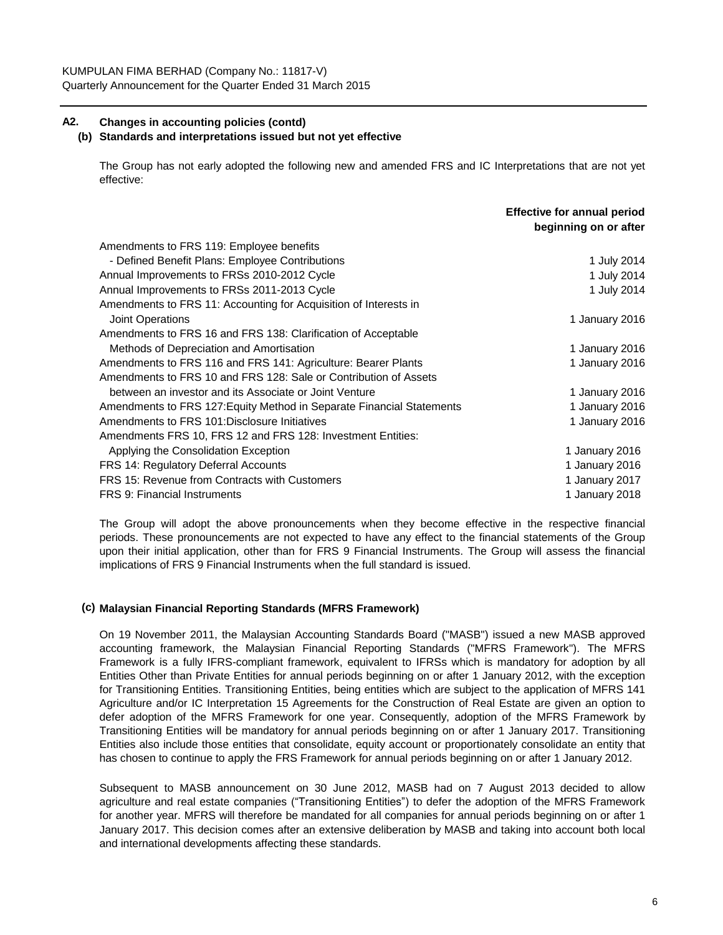# **A2. Changes in accounting policies (contd)**

## **(b) Standards and interpretations issued but not yet effective**

The Group has not early adopted the following new and amended FRS and IC Interpretations that are not yet effective:

|                                                                       | <b>Effective for annual period</b><br>beginning on or after |
|-----------------------------------------------------------------------|-------------------------------------------------------------|
| Amendments to FRS 119: Employee benefits                              |                                                             |
| - Defined Benefit Plans: Employee Contributions                       | 1 July 2014                                                 |
| Annual Improvements to FRSs 2010-2012 Cycle                           | 1 July 2014                                                 |
| Annual Improvements to FRSs 2011-2013 Cycle                           | 1 July 2014                                                 |
| Amendments to FRS 11: Accounting for Acquisition of Interests in      |                                                             |
| Joint Operations                                                      | 1 January 2016                                              |
| Amendments to FRS 16 and FRS 138: Clarification of Acceptable         |                                                             |
| Methods of Depreciation and Amortisation                              | 1 January 2016                                              |
| Amendments to FRS 116 and FRS 141: Agriculture: Bearer Plants         | 1 January 2016                                              |
| Amendments to FRS 10 and FRS 128: Sale or Contribution of Assets      |                                                             |
| between an investor and its Associate or Joint Venture                | 1 January 2016                                              |
| Amendments to FRS 127: Equity Method in Separate Financial Statements | 1 January 2016                                              |
| Amendments to FRS 101: Disclosure Initiatives                         | 1 January 2016                                              |
| Amendments FRS 10, FRS 12 and FRS 128: Investment Entities:           |                                                             |
| Applying the Consolidation Exception                                  | 1 January 2016                                              |
| FRS 14: Regulatory Deferral Accounts                                  | 1 January 2016                                              |
| FRS 15: Revenue from Contracts with Customers                         | 1 January 2017                                              |
| <b>FRS 9: Financial Instruments</b>                                   | 1 January 2018                                              |

The Group will adopt the above pronouncements when they become effective in the respective financial periods. These pronouncements are not expected to have any effect to the financial statements of the Group upon their initial application, other than for FRS 9 Financial Instruments. The Group will assess the financial implications of FRS 9 Financial Instruments when the full standard is issued.

# **(c) Malaysian Financial Reporting Standards (MFRS Framework)**

On 19 November 2011, the Malaysian Accounting Standards Board ("MASB") issued a new MASB approved accounting framework, the Malaysian Financial Reporting Standards ("MFRS Framework"). The MFRS Framework is a fully IFRS-compliant framework, equivalent to IFRSs which is mandatory for adoption by all Entities Other than Private Entities for annual periods beginning on or after 1 January 2012, with the exception for Transitioning Entities. Transitioning Entities, being entities which are subject to the application of MFRS 141 Agriculture and/or IC Interpretation 15 Agreements for the Construction of Real Estate are given an option to defer adoption of the MFRS Framework for one year. Consequently, adoption of the MFRS Framework by Transitioning Entities will be mandatory for annual periods beginning on or after 1 January 2017. Transitioning Entities also include those entities that consolidate, equity account or proportionately consolidate an entity that has chosen to continue to apply the FRS Framework for annual periods beginning on or after 1 January 2012.

Subsequent to MASB announcement on 30 June 2012, MASB had on 7 August 2013 decided to allow agriculture and real estate companies ("Transitioning Entities") to defer the adoption of the MFRS Framework for another year. MFRS will therefore be mandated for all companies for annual periods beginning on or after 1 January 2017. This decision comes after an extensive deliberation by MASB and taking into account both local and international developments affecting these standards.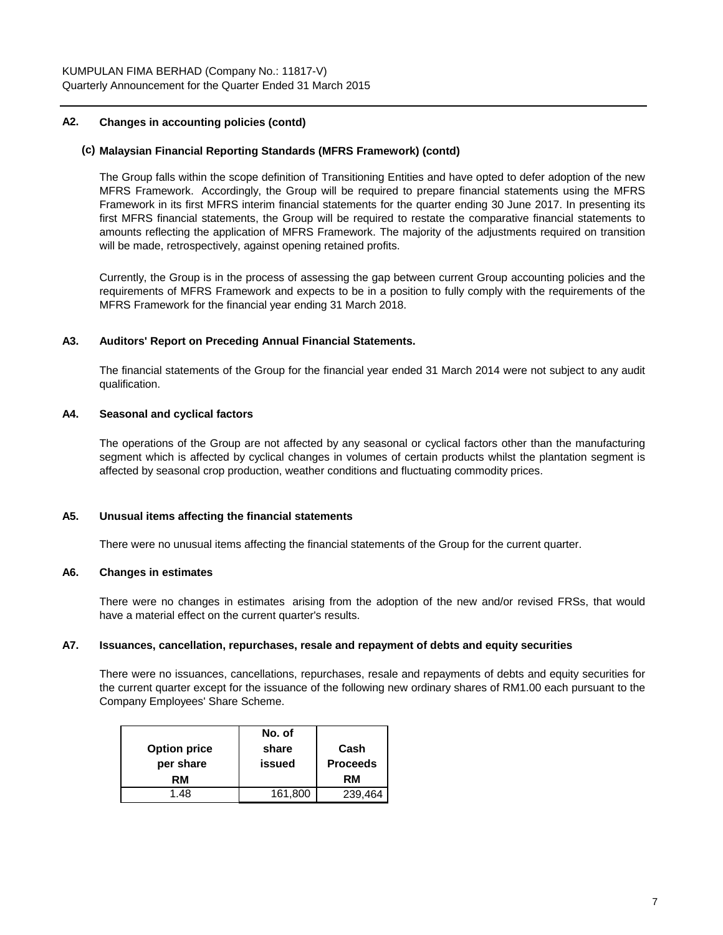## **A2. Changes in accounting policies (contd)**

## **(c) Malaysian Financial Reporting Standards (MFRS Framework) (contd)**

The Group falls within the scope definition of Transitioning Entities and have opted to defer adoption of the new MFRS Framework. Accordingly, the Group will be required to prepare financial statements using the MFRS Framework in its first MFRS interim financial statements for the quarter ending 30 June 2017. In presenting its first MFRS financial statements, the Group will be required to restate the comparative financial statements to amounts reflecting the application of MFRS Framework. The majority of the adjustments required on transition will be made, retrospectively, against opening retained profits.

Currently, the Group is in the process of assessing the gap between current Group accounting policies and the requirements of MFRS Framework and expects to be in a position to fully comply with the requirements of the MFRS Framework for the financial year ending 31 March 2018.

## **A3. Auditors' Report on Preceding Annual Financial Statements.**

The financial statements of the Group for the financial year ended 31 March 2014 were not subject to any audit qualification.

## **A4. Seasonal and cyclical factors**

The operations of the Group are not affected by any seasonal or cyclical factors other than the manufacturing segment which is affected by cyclical changes in volumes of certain products whilst the plantation segment is affected by seasonal crop production, weather conditions and fluctuating commodity prices.

## **A5. Unusual items affecting the financial statements**

There were no unusual items affecting the financial statements of the Group for the current quarter.

#### **A6. Changes in estimates**

There were no changes in estimates arising from the adoption of the new and/or revised FRSs, that would have a material effect on the current quarter's results.

#### **A7. Issuances, cancellation, repurchases, resale and repayment of debts and equity securities**

There were no issuances, cancellations, repurchases, resale and repayments of debts and equity securities for the current quarter except for the issuance of the following new ordinary shares of RM1.00 each pursuant to the Company Employees' Share Scheme.

|                     | No. of  |                 |
|---------------------|---------|-----------------|
| <b>Option price</b> | share   | Cash            |
| per share           | issued  | <b>Proceeds</b> |
| RM                  |         | RM              |
| 1.48                | 161,800 | 239,464         |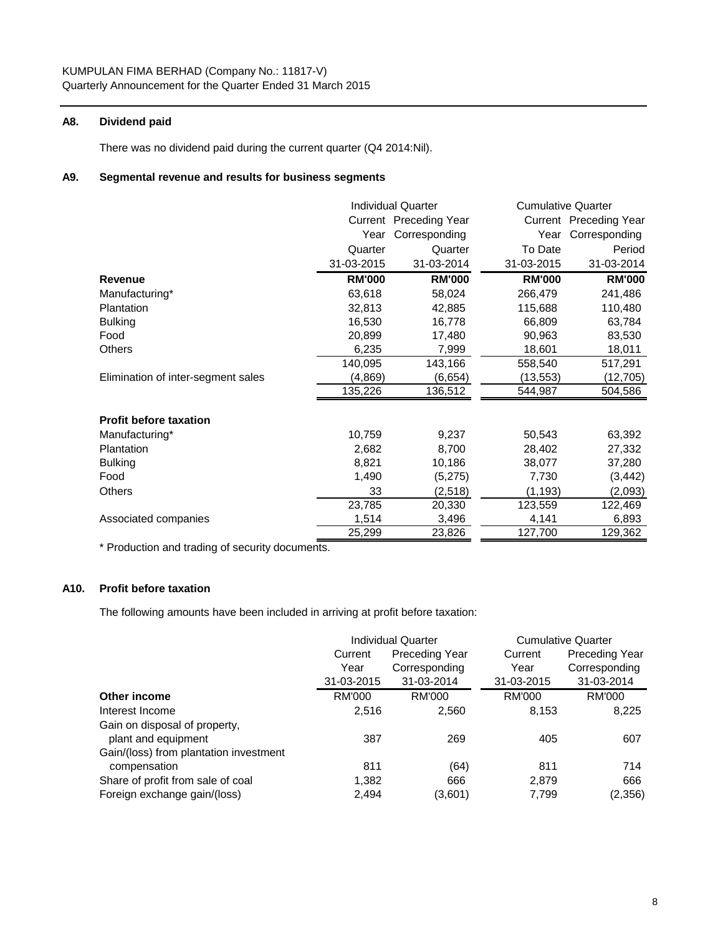## **A8. Dividend paid**

There was no dividend paid during the current quarter (Q4 2014:Nil).

#### **A9. Segmental revenue and results for business segments**

|                                    | <b>Individual Quarter</b> |               | <b>Cumulative Quarter</b> |                        |
|------------------------------------|---------------------------|---------------|---------------------------|------------------------|
|                                    | Current Preceding Year    |               |                           | Current Preceding Year |
|                                    | Year                      | Corresponding | Year                      | Corresponding          |
|                                    | Quarter                   | Quarter       | To Date                   | Period                 |
|                                    | 31-03-2015                | 31-03-2014    | 31-03-2015                | 31-03-2014             |
| <b>Revenue</b>                     | <b>RM'000</b>             | <b>RM'000</b> | <b>RM'000</b>             | <b>RM'000</b>          |
| Manufacturing*                     | 63,618                    | 58,024        | 266,479                   | 241,486                |
| <b>Plantation</b>                  | 32,813                    | 42,885        | 115,688                   | 110,480                |
| <b>Bulking</b>                     | 16,530                    | 16,778        | 66,809                    | 63,784                 |
| Food                               | 20,899                    | 17,480        | 90,963                    | 83,530                 |
| Others                             | 6,235                     | 7,999         | 18,601                    | 18,011                 |
|                                    | 140,095                   | 143,166       | 558,540                   | 517,291                |
| Elimination of inter-segment sales | (4, 869)                  | (6,654)       | (13, 553)                 | (12, 705)              |
|                                    | 135,226                   | 136,512       | 544,987                   | 504,586                |
| <b>Profit before taxation</b>      |                           |               |                           |                        |
| Manufacturing*                     | 10,759                    | 9,237         | 50,543                    | 63,392                 |
| Plantation                         | 2,682                     | 8,700         | 28,402                    | 27,332                 |
| <b>Bulking</b>                     | 8,821                     | 10,186        | 38,077                    | 37,280                 |
| Food                               | 1,490                     | (5,275)       | 7,730                     | (3, 442)               |
| <b>Others</b>                      | 33                        | (2, 518)      | (1, 193)                  | (2,093)                |
|                                    | 23,785                    | 20,330        | 123,559                   | 122,469                |
| Associated companies               | 1,514                     | 3,496         | 4,141                     | 6,893                  |
|                                    | 25,299                    | 23,826        | 127,700                   | 129,362                |

\* Production and trading of security documents.

# **A10. Profit before taxation**

The following amounts have been included in arriving at profit before taxation:

|                                        | <b>Individual Quarter</b> |                       |               | <b>Cumulative Quarter</b> |
|----------------------------------------|---------------------------|-----------------------|---------------|---------------------------|
|                                        | Current                   | <b>Preceding Year</b> | Current       | <b>Preceding Year</b>     |
|                                        | Year                      | Corresponding         | Year          | Corresponding             |
|                                        | 31-03-2015                | 31-03-2014            | 31-03-2015    | 31-03-2014                |
| Other income                           | <b>RM'000</b>             | <b>RM'000</b>         | <b>RM'000</b> | <b>RM'000</b>             |
| Interest Income                        | 2,516                     | 2,560                 | 8,153         | 8,225                     |
| Gain on disposal of property,          |                           |                       |               |                           |
| plant and equipment                    | 387                       | 269                   | 405           | 607                       |
| Gain/(loss) from plantation investment |                           |                       |               |                           |
| compensation                           | 811                       | (64)                  | 811           | 714                       |
| Share of profit from sale of coal      | 1,382                     | 666                   | 2,879         | 666                       |
| Foreign exchange gain/(loss)           | 2.494                     | (3,601)               | 7.799         | (2,356)                   |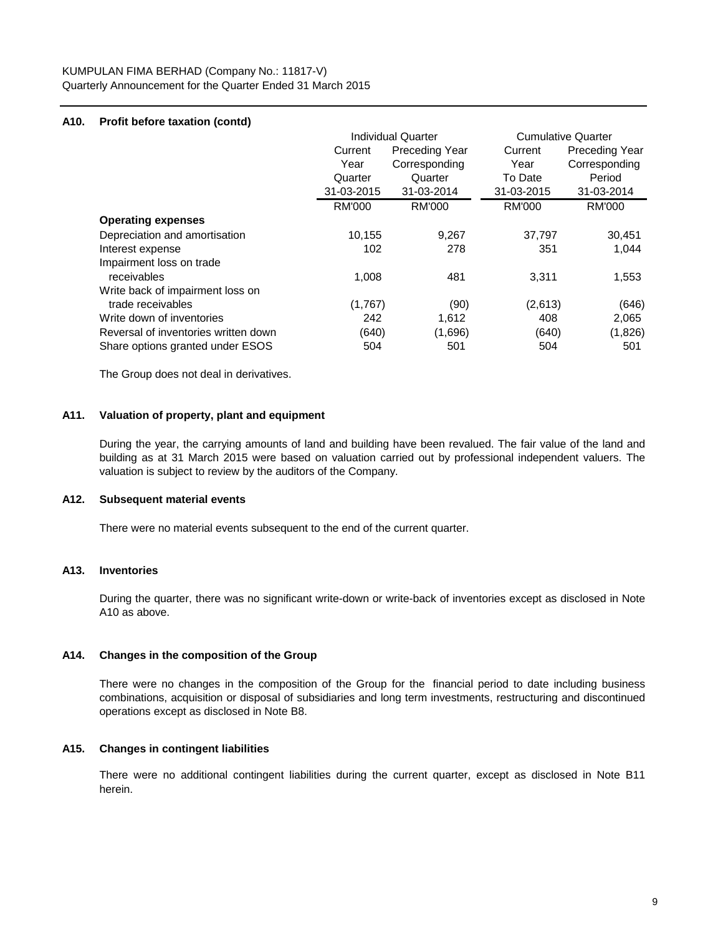# **A10. Profit before taxation (contd)**

|                                      |               | <b>Individual Quarter</b> |               | <b>Cumulative Quarter</b> |
|--------------------------------------|---------------|---------------------------|---------------|---------------------------|
|                                      | Current       | Preceding Year            | Current       | <b>Preceding Year</b>     |
|                                      | Year          | Corresponding             | Year          | Corresponding             |
|                                      | Quarter       | Quarter                   | To Date       | Period                    |
|                                      | 31-03-2015    | 31-03-2014                | 31-03-2015    | 31-03-2014                |
|                                      | <b>RM'000</b> | RM'000                    | <b>RM'000</b> | <b>RM'000</b>             |
| <b>Operating expenses</b>            |               |                           |               |                           |
| Depreciation and amortisation        | 10,155        | 9,267                     | 37,797        | 30,451                    |
| Interest expense                     | 102           | 278                       | 351           | 1,044                     |
| Impairment loss on trade             |               |                           |               |                           |
| receivables                          | 1,008         | 481                       | 3,311         | 1,553                     |
| Write back of impairment loss on     |               |                           |               |                           |
| trade receivables                    | (1,767)       | (90)                      | (2,613)       | (646)                     |
| Write down of inventories            | 242           | 1,612                     | 408           | 2,065                     |
| Reversal of inventories written down | (640)         | (1,696)                   | (640)         | (1,826)                   |
| Share options granted under ESOS     | 504           | 501                       | 504           | 501                       |

The Group does not deal in derivatives.

## **A11. Valuation of property, plant and equipment**

During the year, the carrying amounts of land and building have been revalued. The fair value of the land and building as at 31 March 2015 were based on valuation carried out by professional independent valuers. The valuation is subject to review by the auditors of the Company.

## **A12. Subsequent material events**

There were no material events subsequent to the end of the current quarter.

#### **A13. Inventories**

During the quarter, there was no significant write-down or write-back of inventories except as disclosed in Note A10 as above.

#### **A14. Changes in the composition of the Group**

There were no changes in the composition of the Group for the financial period to date including business combinations, acquisition or disposal of subsidiaries and long term investments, restructuring and discontinued operations except as disclosed in Note B8.

## **A15. Changes in contingent liabilities**

There were no additional contingent liabilities during the current quarter, except as disclosed in Note B11 herein.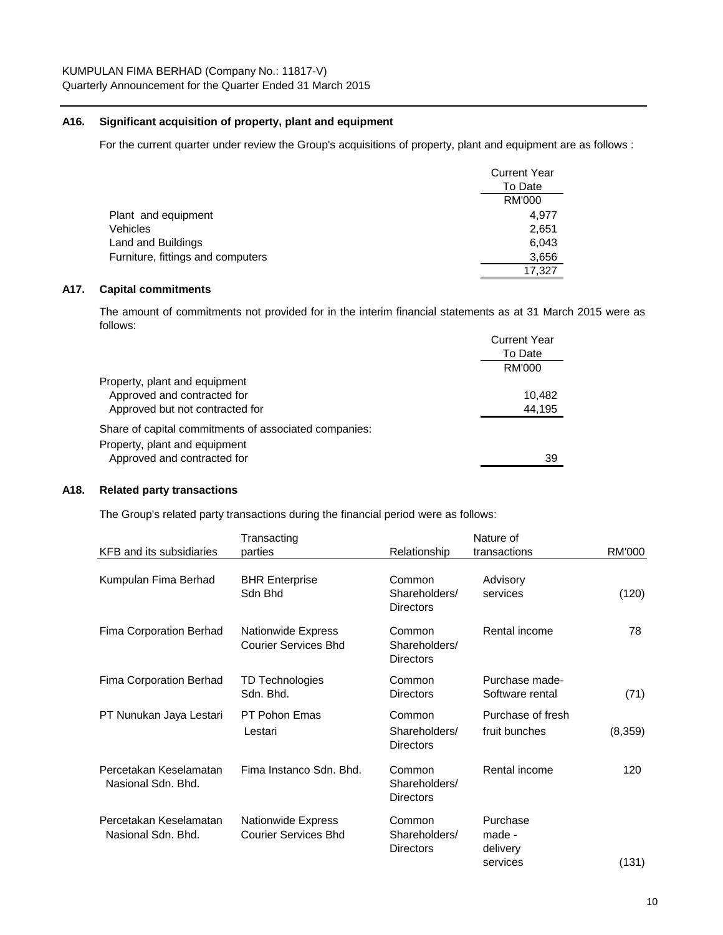## **A16. Significant acquisition of property, plant and equipment**

For the current quarter under review the Group's acquisitions of property, plant and equipment are as follows :

|                                   | <b>Current Year</b> |
|-----------------------------------|---------------------|
|                                   | To Date             |
|                                   | RM'000              |
| Plant and equipment               | 4.977               |
| <b>Vehicles</b>                   | 2,651               |
| Land and Buildings                | 6,043               |
| Furniture, fittings and computers | 3,656               |
|                                   | 17.327              |

## **A17. Capital commitments**

The amount of commitments not provided for in the interim financial statements as at 31 March 2015 were as follows:

|                                                       | <b>Current Year</b> |
|-------------------------------------------------------|---------------------|
|                                                       | To Date             |
|                                                       | RM'000              |
| Property, plant and equipment                         |                     |
| Approved and contracted for                           | 10,482              |
| Approved but not contracted for                       | 44,195              |
| Share of capital commitments of associated companies: |                     |
| Property, plant and equipment                         |                     |
| Approved and contracted for                           | 39                  |

## **A18. Related party transactions**

The Group's related party transactions during the financial period were as follows:

|                                              | Transacting                                              |                                             | Nature of                                  |         |
|----------------------------------------------|----------------------------------------------------------|---------------------------------------------|--------------------------------------------|---------|
| KFB and its subsidiaries                     | parties                                                  | Relationship                                | transactions                               | RM'000  |
| Kumpulan Fima Berhad                         | <b>BHR Enterprise</b><br>Sdn Bhd                         | Common<br>Shareholders/<br><b>Directors</b> | Advisory<br>services                       | (120)   |
| Fima Corporation Berhad                      | <b>Nationwide Express</b><br><b>Courier Services Bhd</b> | Common<br>Shareholders/<br>Directors        | Rental income                              | 78      |
| Fima Corporation Berhad                      | <b>TD Technologies</b><br>Sdn. Bhd.                      | Common<br>Directors                         | Purchase made-<br>Software rental          | (71)    |
| PT Nunukan Jaya Lestari                      | <b>PT Pohon Emas</b><br>Lestari                          | Common<br>Shareholders/<br><b>Directors</b> | Purchase of fresh<br>fruit bunches         | (8,359) |
| Percetakan Keselamatan<br>Nasional Sdn. Bhd. | Fima Instanco Sdn. Bhd.                                  | Common<br>Shareholders/<br>Directors        | Rental income                              | 120     |
| Percetakan Keselamatan<br>Nasional Sdn. Bhd. | Nationwide Express<br><b>Courier Services Bhd</b>        | Common<br>Shareholders/<br>Directors        | Purchase<br>made -<br>delivery<br>services | (131)   |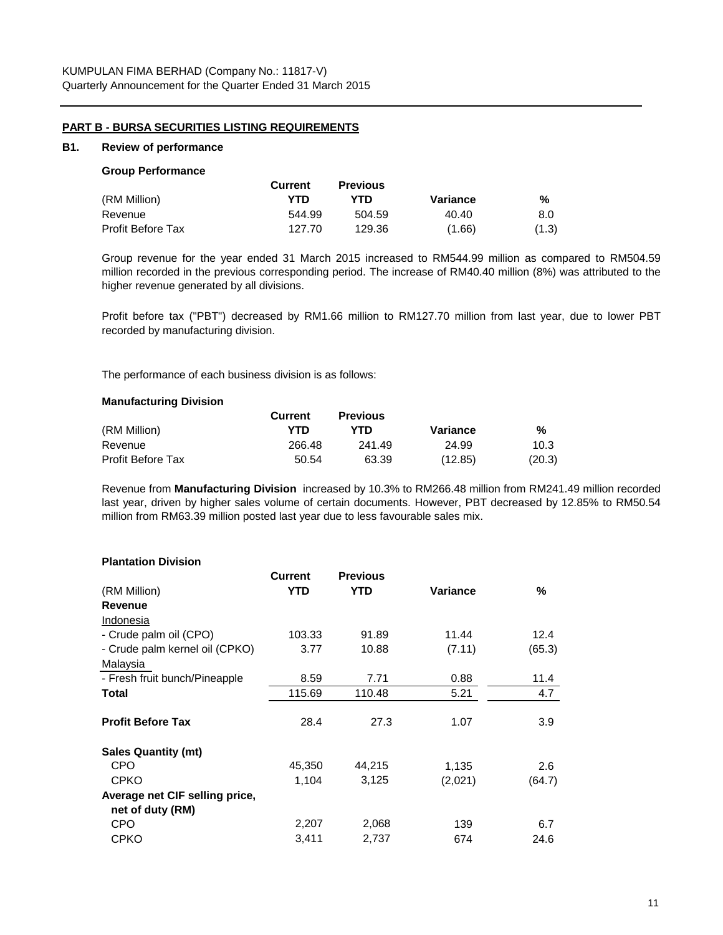## **PART B - BURSA SECURITIES LISTING REQUIREMENTS**

#### **B1. Review of performance**

#### **Group Performance**

|                   | Current | <b>Previous</b> |          |       |
|-------------------|---------|-----------------|----------|-------|
| (RM Million)      | YTD     | YTD             | Variance | %     |
| Revenue           | 544.99  | 504.59          | 40.40    | 8.0   |
| Profit Before Tax | 127.70  | 129.36          | (1.66)   | (1.3) |

Group revenue for the year ended 31 March 2015 increased to RM544.99 million as compared to RM504.59 million recorded in the previous corresponding period. The increase of RM40.40 million (8%) was attributed to the higher revenue generated by all divisions.

Profit before tax ("PBT") decreased by RM1.66 million to RM127.70 million from last year, due to lower PBT recorded by manufacturing division.

The performance of each business division is as follows:

#### **Manufacturing Division**

|                          | <b>Current</b> | <b>Previous</b> |          |        |
|--------------------------|----------------|-----------------|----------|--------|
| (RM Million)             | YTD            | YTD             | Variance | %      |
| Revenue                  | 266.48         | 241.49          | 24.99    | 10.3   |
| <b>Profit Before Tax</b> | 50.54          | 63.39           | (12.85)  | (20.3) |

Revenue from **Manufacturing Division** increased by 10.3% to RM266.48 million from RM241.49 million recorded last year, driven by higher sales volume of certain documents. However, PBT decreased by 12.85% to RM50.54 million from RM63.39 million posted last year due to less favourable sales mix.

#### **Plantation Division**

| <b>Current</b> | <b>Previous</b> |          |        |
|----------------|-----------------|----------|--------|
| <b>YTD</b>     | <b>YTD</b>      | Variance | ℅      |
|                |                 |          |        |
|                |                 |          |        |
| 103.33         | 91.89           | 11.44    | 12.4   |
| 3.77           | 10.88           | (7.11)   | (65.3) |
|                |                 |          |        |
| 8.59           | 7.71            | 0.88     | 11.4   |
| 115.69         | 110.48          | 5.21     | 4.7    |
|                |                 |          |        |
| 28.4           | 27.3            | 1.07     | 3.9    |
|                |                 |          |        |
| 45,350         | 44,215          | 1,135    | 2.6    |
| 1,104          | 3,125           | (2,021)  | (64.7) |
|                |                 |          |        |
|                |                 |          |        |
| 2,207          | 2,068           | 139      | 6.7    |
| 3,411          | 2,737           | 674      | 24.6   |
|                |                 |          |        |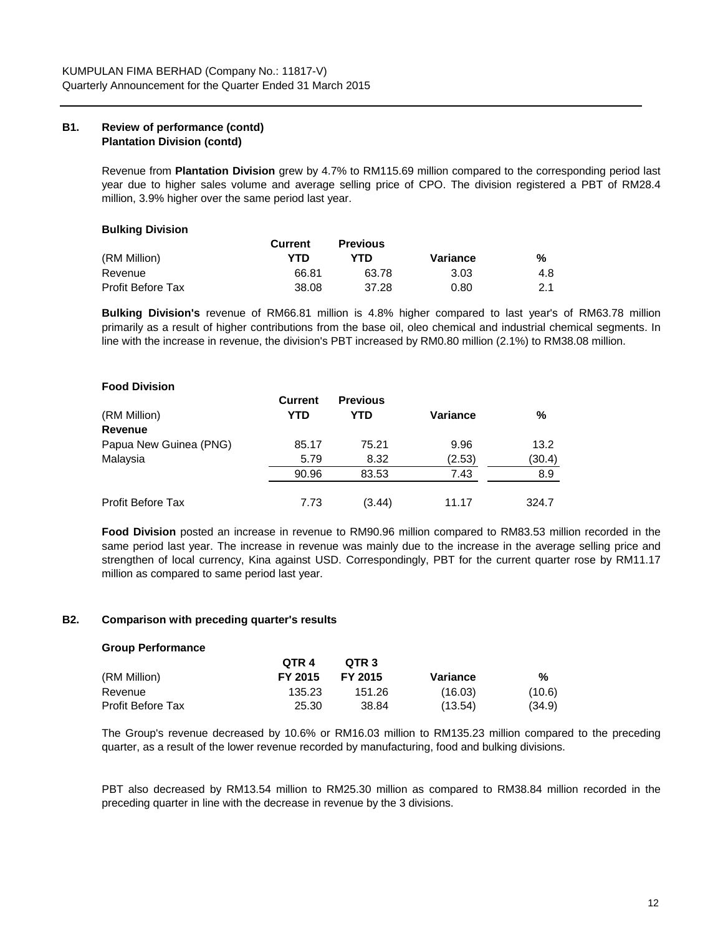# **B1. Review of performance (contd) Plantation Division (contd)**

Revenue from **Plantation Division** grew by 4.7% to RM115.69 million compared to the corresponding period last year due to higher sales volume and average selling price of CPO. The division registered a PBT of RM28.4 million, 3.9% higher over the same period last year.

# **Bulking Division**

|                   | Current | <b>Previous</b> |          |     |
|-------------------|---------|-----------------|----------|-----|
| (RM Million)      | YTD     | YTD             | Variance | %   |
| Revenue           | 66.81   | 63.78           | 3.03     | 4.8 |
| Profit Before Tax | 38.08   | 37.28           | 0.80     | 2.1 |

**Bulking Division's** revenue of RM66.81 million is 4.8% higher compared to last year's of RM63.78 million primarily as a result of higher contributions from the base oil, oleo chemical and industrial chemical segments. In line with the increase in revenue, the division's PBT increased by RM0.80 million (2.1%) to RM38.08 million.

# **Food Division**

|                        | <b>Current</b> | <b>Previous</b> |          |        |
|------------------------|----------------|-----------------|----------|--------|
| (RM Million)           | <b>YTD</b>     | <b>YTD</b>      | Variance | %      |
| Revenue                |                |                 |          |        |
| Papua New Guinea (PNG) | 85.17          | 75.21           | 9.96     | 13.2   |
| Malaysia               | 5.79           | 8.32            | (2.53)   | (30.4) |
|                        | 90.96          | 83.53           | 7.43     | 8.9    |
| Profit Before Tax      | 7.73           | (3.44)          | 11.17    | 324.7  |

**Food Division** posted an increase in revenue to RM90.96 million compared to RM83.53 million recorded in the same period last year. The increase in revenue was mainly due to the increase in the average selling price and strengthen of local currency, Kina against USD. Correspondingly, PBT for the current quarter rose by RM11.17 million as compared to same period last year.

# **B2. Comparison with preceding quarter's results**

#### **Group Performance**

|                   | OTR 4   | OTR <sub>3</sub> |          |        |
|-------------------|---------|------------------|----------|--------|
| (RM Million)      | FY 2015 | FY 2015          | Variance | %      |
| Revenue           | 135.23  | 151.26           | (16.03)  | (10.6) |
| Profit Before Tax | 25.30   | 38.84            | (13.54)  | (34.9) |

The Group's revenue decreased by 10.6% or RM16.03 million to RM135.23 million compared to the preceding quarter, as a result of the lower revenue recorded by manufacturing, food and bulking divisions.

PBT also decreased by RM13.54 million to RM25.30 million as compared to RM38.84 million recorded in the preceding quarter in line with the decrease in revenue by the 3 divisions.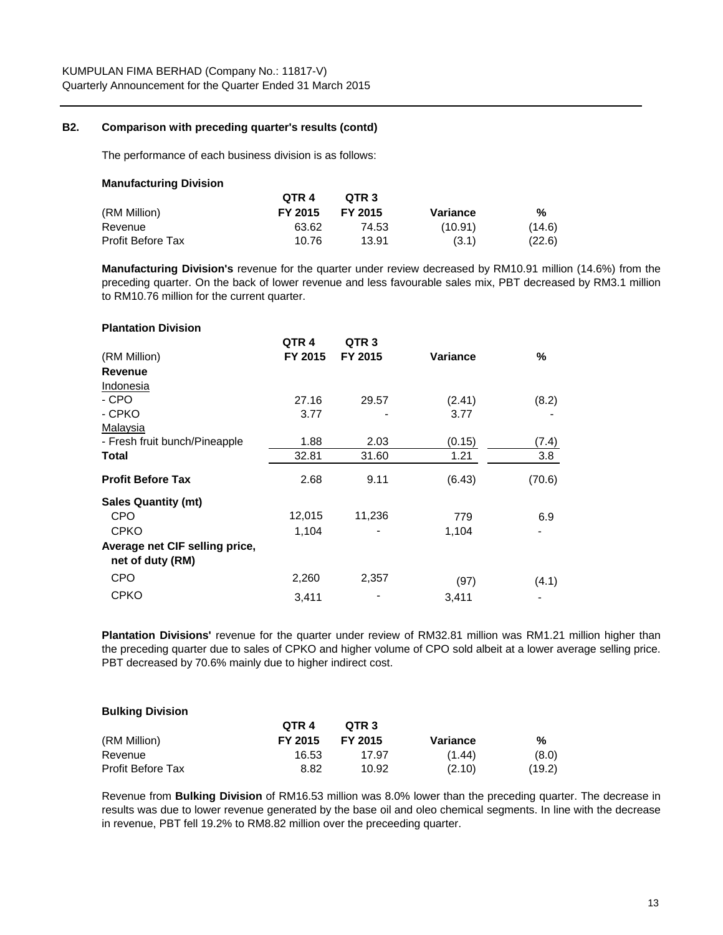## **B2. Comparison with preceding quarter's results (contd)**

The performance of each business division is as follows:

| Manufacturing Division |         |                  |          |        |
|------------------------|---------|------------------|----------|--------|
|                        | QTR 4   | OTR <sub>3</sub> |          |        |
| (RM Million)           | FY 2015 | FY 2015          | Variance | %      |
| Revenue                | 63.62   | 74.53            | (10.91)  | (14.6) |
| Profit Before Tax      | 10.76   | 13.91            | (3.1)    | (22.6) |

**Manufacturing Division's** revenue for the quarter under review decreased by RM10.91 million (14.6%) from the preceding quarter. On the back of lower revenue and less favourable sales mix, PBT decreased by RM3.1 million to RM10.76 million for the current quarter.

| <b>Plantation Division</b> |  |
|----------------------------|--|
|----------------------------|--|

**Manufacturing Division**

|                                | QTR <sub>4</sub> | QTR <sub>3</sub> |                 |        |
|--------------------------------|------------------|------------------|-----------------|--------|
| (RM Million)                   | FY 2015          | FY 2015          | <b>Variance</b> | $\%$   |
| Revenue                        |                  |                  |                 |        |
| Indonesia                      |                  |                  |                 |        |
| - CPO                          | 27.16            | 29.57            | (2.41)          | (8.2)  |
| - CPKO                         | 3.77             |                  | 3.77            |        |
| Malaysia                       |                  |                  |                 |        |
| - Fresh fruit bunch/Pineapple  | 1.88             | 2.03             | (0.15)          | (7.4)  |
| Total                          | 32.81            | 31.60            | 1.21            | 3.8    |
| <b>Profit Before Tax</b>       | 2.68             | 9.11             | (6.43)          | (70.6) |
| <b>Sales Quantity (mt)</b>     |                  |                  |                 |        |
| <b>CPO</b>                     | 12,015           | 11,236           | 779             | 6.9    |
| <b>CPKO</b>                    | 1,104            |                  | 1,104           |        |
| Average net CIF selling price, |                  |                  |                 |        |
| net of duty (RM)               |                  |                  |                 |        |
| <b>CPO</b>                     | 2,260            | 2,357            | (97)            | (4.1)  |
| <b>CPKO</b>                    | 3,411            |                  | 3,411           |        |

**Plantation Divisions'** revenue for the quarter under review of RM32.81 million was RM1.21 million higher than the preceding quarter due to sales of CPKO and higher volume of CPO sold albeit at a lower average selling price. PBT decreased by 70.6% mainly due to higher indirect cost.

#### **Bulking Division**

|                   | OTR <sub>4</sub> | OTR <sub>3</sub> |          |        |
|-------------------|------------------|------------------|----------|--------|
| (RM Million)      | FY 2015          | FY 2015          | Variance | %      |
| Revenue           | 16.53            | 17.97            | (1.44)   | (8.0)  |
| Profit Before Tax | 8.82             | 10.92            | (2.10)   | (19.2) |

Revenue from **Bulking Division** of RM16.53 million was 8.0% lower than the preceding quarter. The decrease in results was due to lower revenue generated by the base oil and oleo chemical segments. In line with the decrease in revenue, PBT fell 19.2% to RM8.82 million over the preceeding quarter.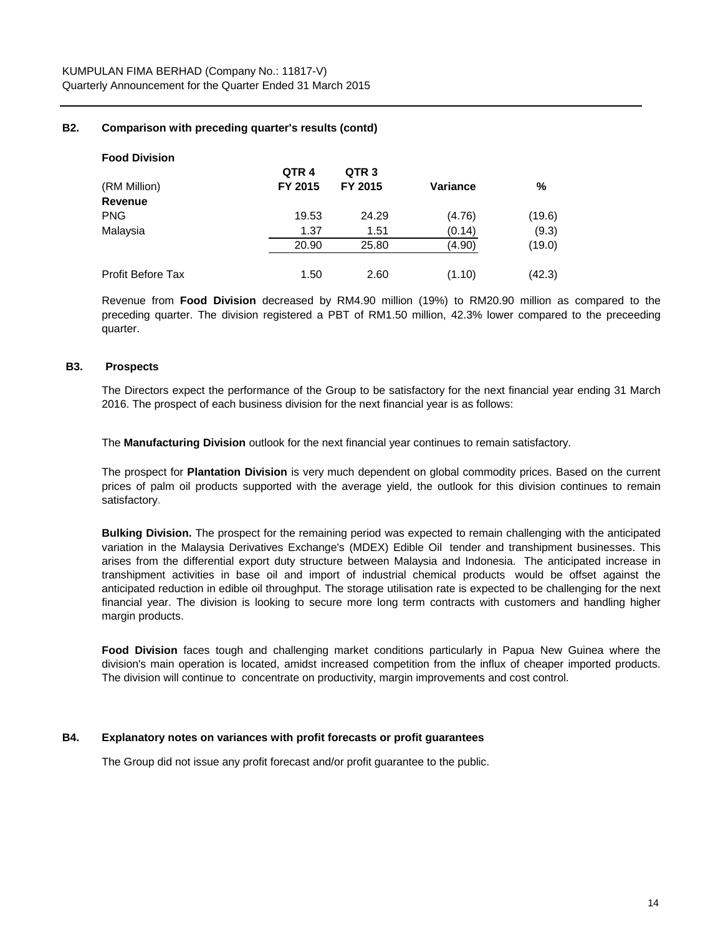## **B2. Comparison with preceding quarter's results (contd)**

| <b>Food Division</b> |                  |                  |                 |        |
|----------------------|------------------|------------------|-----------------|--------|
|                      | QTR <sub>4</sub> | QTR <sub>3</sub> |                 |        |
| (RM Million)         | FY 2015          | FY 2015          | <b>Variance</b> | %      |
| Revenue              |                  |                  |                 |        |
| PNG                  | 19.53            | 24.29            | (4.76)          | (19.6) |
| Malaysia             | 1.37             | 1.51             | (0.14)          | (9.3)  |
|                      | 20.90            | 25.80            | (4.90)          | (19.0) |
| Profit Before Tax    | 1.50             | 2.60             | (1.10)          | (42.3) |

Revenue from **Food Division** decreased by RM4.90 million (19%) to RM20.90 million as compared to the preceding quarter. The division registered a PBT of RM1.50 million, 42.3% lower compared to the preceeding quarter.

#### **B3. Prospects**

The Directors expect the performance of the Group to be satisfactory for the next financial year ending 31 March 2016. The prospect of each business division for the next financial year is as follows:

The **Manufacturing Division** outlook for the next financial year continues to remain satisfactory.

The prospect for **Plantation Division** is very much dependent on global commodity prices. Based on the current prices of palm oil products supported with the average yield, the outlook for this division continues to remain satisfactory.

**Bulking Division.** The prospect for the remaining period was expected to remain challenging with the anticipated variation in the Malaysia Derivatives Exchange's (MDEX) Edible Oil tender and transhipment businesses. This arises from the differential export duty structure between Malaysia and Indonesia. The anticipated increase in transhipment activities in base oil and import of industrial chemical products would be offset against the anticipated reduction in edible oil throughput. The storage utilisation rate is expected to be challenging for the next financial year. The division is looking to secure more long term contracts with customers and handling higher margin products.

**Food Division** faces tough and challenging market conditions particularly in Papua New Guinea where the division's main operation is located, amidst increased competition from the influx of cheaper imported products. The division will continue to concentrate on productivity, margin improvements and cost control.

## **B4. Explanatory notes on variances with profit forecasts or profit guarantees**

The Group did not issue any profit forecast and/or profit guarantee to the public.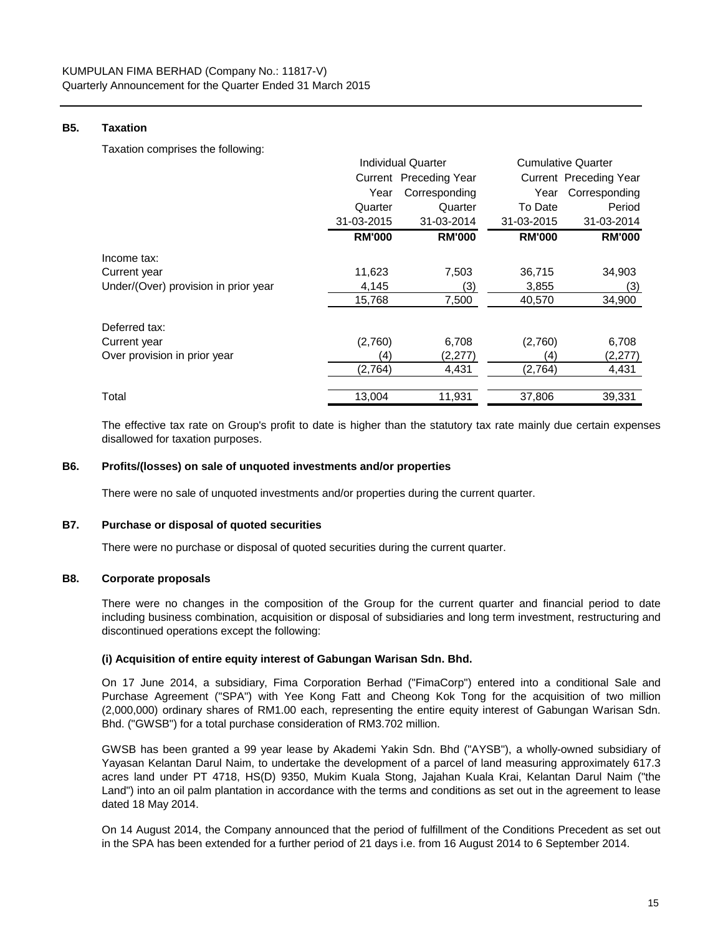## **B5. Taxation**

Taxation comprises the following:

|                                      |               | Individual Quarter     |               | <b>Cumulative Quarter</b>     |  |
|--------------------------------------|---------------|------------------------|---------------|-------------------------------|--|
|                                      |               | Current Preceding Year |               | <b>Current Preceding Year</b> |  |
|                                      | Year          | Corresponding          | Year          | Corresponding                 |  |
|                                      | Quarter       | Quarter                | To Date       | Period                        |  |
|                                      | 31-03-2015    | 31-03-2014             | 31-03-2015    | 31-03-2014                    |  |
|                                      | <b>RM'000</b> | <b>RM'000</b>          | <b>RM'000</b> | <b>RM'000</b>                 |  |
| Income tax:                          |               |                        |               |                               |  |
| Current year                         | 11,623        | 7,503                  | 36,715        | 34,903                        |  |
| Under/(Over) provision in prior year | 4,145         | (3)                    | 3,855         | (3)                           |  |
|                                      | 15,768        | 7,500                  | 40,570        | 34,900                        |  |
| Deferred tax:                        |               |                        |               |                               |  |
| Current year                         | (2,760)       | 6,708                  | (2,760)       | 6,708                         |  |
| Over provision in prior year         | (4)           | (2,277)                | (4)           | (2, 277)                      |  |
|                                      | (2,764)       | 4,431                  | (2,764)       | 4,431                         |  |
| Total                                | 13,004        | 11,931                 | 37,806        | 39,331                        |  |

The effective tax rate on Group's profit to date is higher than the statutory tax rate mainly due certain expenses disallowed for taxation purposes.

## **B6. Profits/(losses) on sale of unquoted investments and/or properties**

There were no sale of unquoted investments and/or properties during the current quarter.

#### **B7. Purchase or disposal of quoted securities**

There were no purchase or disposal of quoted securities during the current quarter.

# **B8. Corporate proposals**

There were no changes in the composition of the Group for the current quarter and financial period to date including business combination, acquisition or disposal of subsidiaries and long term investment, restructuring and discontinued operations except the following:

# **(i) Acquisition of entire equity interest of Gabungan Warisan Sdn. Bhd.**

On 17 June 2014, a subsidiary, Fima Corporation Berhad ("FimaCorp") entered into a conditional Sale and Purchase Agreement ("SPA") with Yee Kong Fatt and Cheong Kok Tong for the acquisition of two million (2,000,000) ordinary shares of RM1.00 each, representing the entire equity interest of Gabungan Warisan Sdn. Bhd. ("GWSB") for a total purchase consideration of RM3.702 million.

GWSB has been granted a 99 year lease by Akademi Yakin Sdn. Bhd ("AYSB"), a wholly-owned subsidiary of Yayasan Kelantan Darul Naim, to undertake the development of a parcel of land measuring approximately 617.3 acres land under PT 4718, HS(D) 9350, Mukim Kuala Stong, Jajahan Kuala Krai, Kelantan Darul Naim ("the Land") into an oil palm plantation in accordance with the terms and conditions as set out in the agreement to lease dated 18 May 2014.

On 14 August 2014, the Company announced that the period of fulfillment of the Conditions Precedent as set out in the SPA has been extended for a further period of 21 days i.e. from 16 August 2014 to 6 September 2014.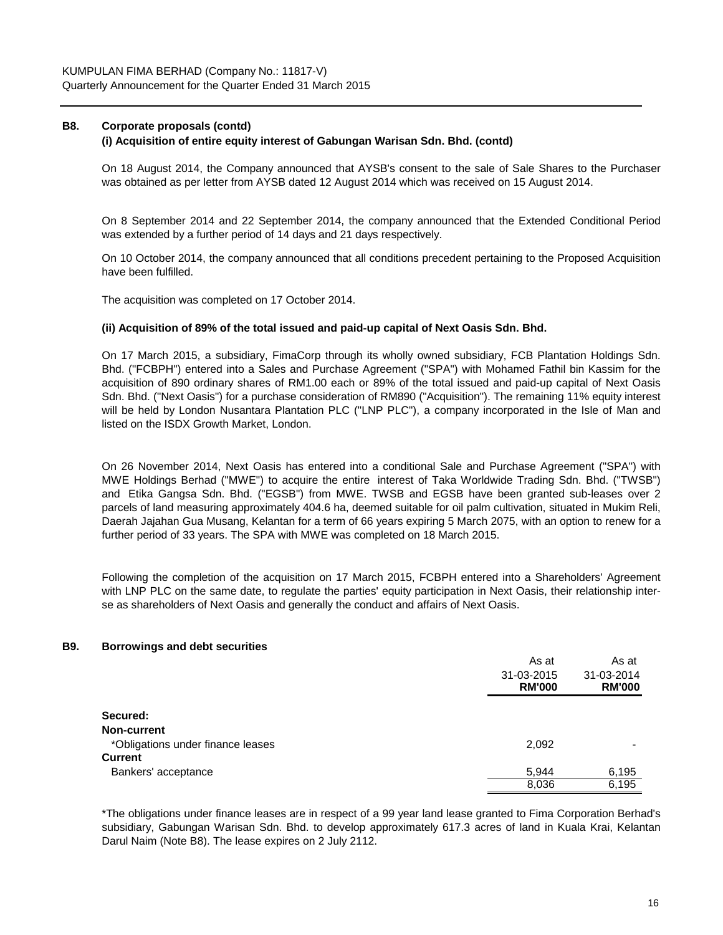# **B8. Corporate proposals (contd)**

#### **(i) Acquisition of entire equity interest of Gabungan Warisan Sdn. Bhd. (contd)**

On 18 August 2014, the Company announced that AYSB's consent to the sale of Sale Shares to the Purchaser was obtained as per letter from AYSB dated 12 August 2014 which was received on 15 August 2014.

On 8 September 2014 and 22 September 2014, the company announced that the Extended Conditional Period was extended by a further period of 14 days and 21 days respectively.

On 10 October 2014, the company announced that all conditions precedent pertaining to the Proposed Acquisition have been fulfilled.

The acquisition was completed on 17 October 2014.

#### **(ii) Acquisition of 89% of the total issued and paid-up capital of Next Oasis Sdn. Bhd.**

On 17 March 2015, a subsidiary, FimaCorp through its wholly owned subsidiary, FCB Plantation Holdings Sdn. Bhd. ("FCBPH") entered into a Sales and Purchase Agreement ("SPA") with Mohamed Fathil bin Kassim for the acquisition of 890 ordinary shares of RM1.00 each or 89% of the total issued and paid-up capital of Next Oasis Sdn. Bhd. ("Next Oasis") for a purchase consideration of RM890 ("Acquisition"). The remaining 11% equity interest will be held by London Nusantara Plantation PLC ("LNP PLC"), a company incorporated in the Isle of Man and listed on the ISDX Growth Market, London.

On 26 November 2014, Next Oasis has entered into a conditional Sale and Purchase Agreement ("SPA") with MWE Holdings Berhad ("MWE") to acquire the entire interest of Taka Worldwide Trading Sdn. Bhd. ("TWSB") and Etika Gangsa Sdn. Bhd. ("EGSB") from MWE. TWSB and EGSB have been granted sub-leases over 2 parcels of land measuring approximately 404.6 ha, deemed suitable for oil palm cultivation, situated in Mukim Reli, Daerah Jajahan Gua Musang, Kelantan for a term of 66 years expiring 5 March 2075, with an option to renew for a further period of 33 years. The SPA with MWE was completed on 18 March 2015.

Following the completion of the acquisition on 17 March 2015, FCBPH entered into a Shareholders' Agreement with LNP PLC on the same date, to regulate the parties' equity participation in Next Oasis, their relationship interse as shareholders of Next Oasis and generally the conduct and affairs of Next Oasis.

#### **B9. Borrowings and debt securities**

|                                   | As at         | As at         |
|-----------------------------------|---------------|---------------|
|                                   | 31-03-2015    | 31-03-2014    |
|                                   | <b>RM'000</b> | <b>RM'000</b> |
| Secured:                          |               |               |
| <b>Non-current</b>                |               |               |
| *Obligations under finance leases | 2,092         |               |
| <b>Current</b>                    |               |               |
| Bankers' acceptance               | 5,944         | 6,195         |
|                                   | 8,036         | 6,195         |

\*The obligations under finance leases are in respect of a 99 year land lease granted to Fima Corporation Berhad's subsidiary, Gabungan Warisan Sdn. Bhd. to develop approximately 617.3 acres of land in Kuala Krai, Kelantan Darul Naim (Note B8). The lease expires on 2 July 2112.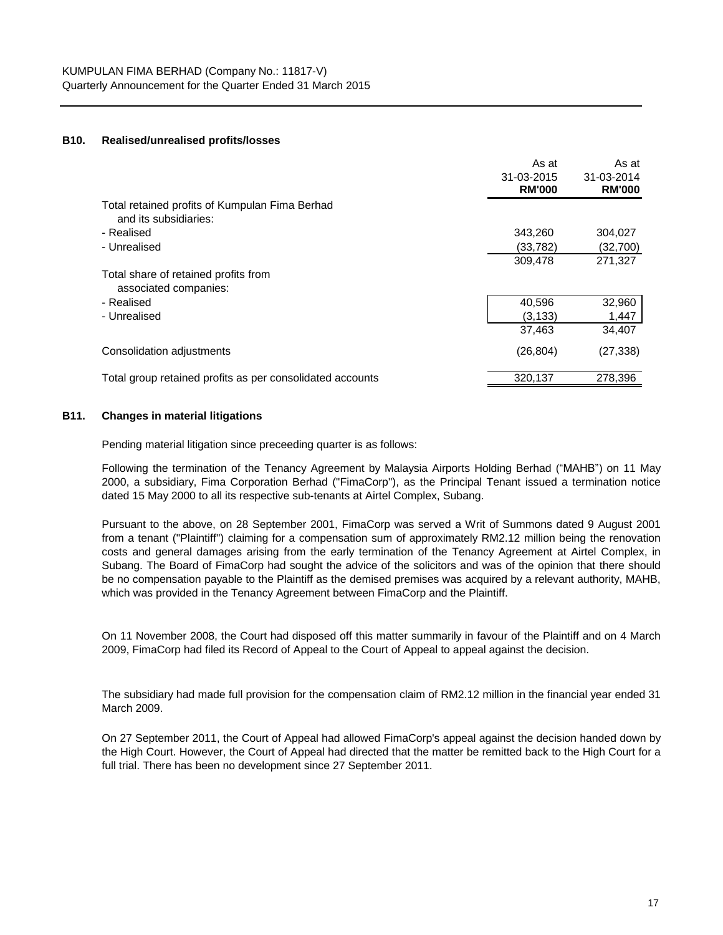#### **B10. Realised/unrealised profits/losses**

|                                                                         | As at<br>31-03-2015<br><b>RM'000</b> | As at<br>31-03-2014<br><b>RM'000</b> |
|-------------------------------------------------------------------------|--------------------------------------|--------------------------------------|
| Total retained profits of Kumpulan Fima Berhad<br>and its subsidiaries: |                                      |                                      |
| - Realised                                                              | 343,260                              | 304,027                              |
| - Unrealised                                                            | (33,782)                             | (32,700)                             |
|                                                                         | 309.478                              | 271.327                              |
| Total share of retained profits from<br>associated companies:           |                                      |                                      |
| - Realised                                                              | 40,596                               | 32,960                               |
| - Unrealised                                                            | (3, 133)                             | 1,447                                |
|                                                                         | 37,463                               | 34,407                               |
| Consolidation adjustments                                               | (26, 804)                            | (27, 338)                            |
| Total group retained profits as per consolidated accounts               | 320,137                              | 278.396                              |

# **B11. Changes in material litigations**

Pending material litigation since preceeding quarter is as follows:

Following the termination of the Tenancy Agreement by Malaysia Airports Holding Berhad ("MAHB") on 11 May 2000, a subsidiary, Fima Corporation Berhad ("FimaCorp"), as the Principal Tenant issued a termination notice dated 15 May 2000 to all its respective sub-tenants at Airtel Complex, Subang.

Pursuant to the above, on 28 September 2001, FimaCorp was served a Writ of Summons dated 9 August 2001 from a tenant ("Plaintiff") claiming for a compensation sum of approximately RM2.12 million being the renovation costs and general damages arising from the early termination of the Tenancy Agreement at Airtel Complex, in Subang. The Board of FimaCorp had sought the advice of the solicitors and was of the opinion that there should be no compensation payable to the Plaintiff as the demised premises was acquired by a relevant authority, MAHB, which was provided in the Tenancy Agreement between FimaCorp and the Plaintiff.

On 11 November 2008, the Court had disposed off this matter summarily in favour of the Plaintiff and on 4 March 2009, FimaCorp had filed its Record of Appeal to the Court of Appeal to appeal against the decision.

The subsidiary had made full provision for the compensation claim of RM2.12 million in the financial year ended 31 March 2009.

On 27 September 2011, the Court of Appeal had allowed FimaCorp's appeal against the decision handed down by the High Court. However, the Court of Appeal had directed that the matter be remitted back to the High Court for a full trial. There has been no development since 27 September 2011.